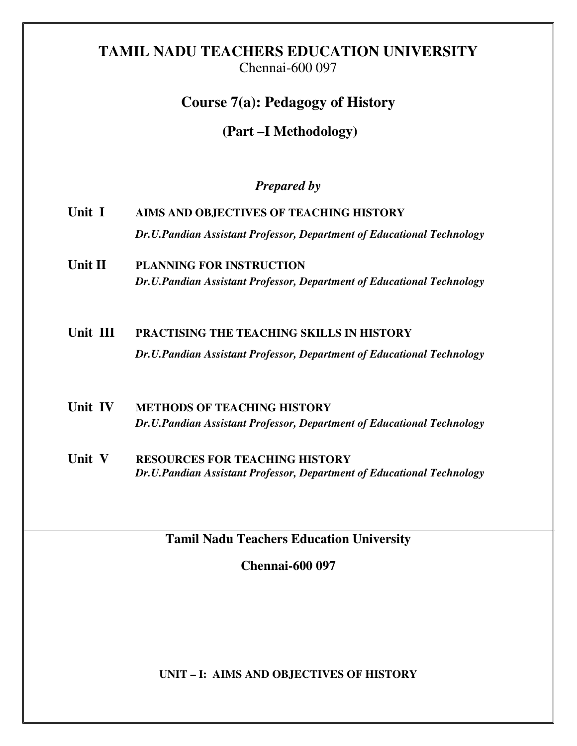# **TAMIL NADU TEACHERS EDUCATION UNIVERSITY**  Chennai-600 097

# **Course 7(a): Pedagogy of History**

# **(Part –I Methodology)**

## *Prepared by*

- **Unit I AIMS AND OBJECTIVES OF TEACHING HISTORY** *Dr.U.Pandian Assistant Professor, Department of Educational Technology*
- **Unit II PLANNING FOR INSTRUCTION**  *Dr.U.Pandian Assistant Professor, Department of Educational Technology*
- **Unit III PRACTISING THE TEACHING SKILLS IN HISTORY**  *Dr.U.Pandian Assistant Professor, Department of Educational Technology*
- **Unit IV METHODS OF TEACHING HISTORY** *Dr.U.Pandian Assistant Professor, Department of Educational Technology*
- **Unit V RESOURCES FOR TEACHING HISTORY**  *Dr.U.Pandian Assistant Professor, Department of Educational Technology*

**Tamil Nadu Teachers Education University** 

**Chennai-600 097** 

**UNIT – I: AIMS AND OBJECTIVES OF HISTORY**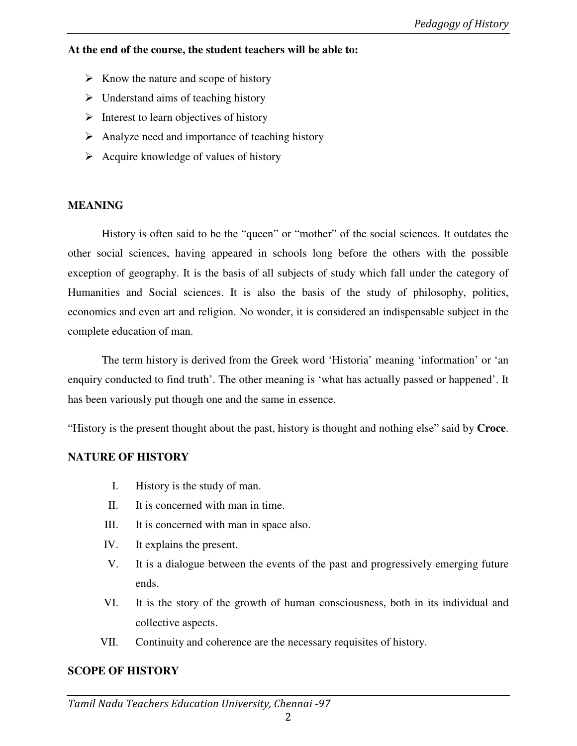### **At the end of the course, the student teachers will be able to:**

- $\triangleright$  Know the nature and scope of history
- $\triangleright$  Understand aims of teaching history
- $\triangleright$  Interest to learn objectives of history
- $\triangleright$  Analyze need and importance of teaching history
- $\triangleright$  Acquire knowledge of values of history

### **MEANING**

History is often said to be the "queen" or "mother" of the social sciences. It outdates the other social sciences, having appeared in schools long before the others with the possible exception of geography. It is the basis of all subjects of study which fall under the category of Humanities and Social sciences. It is also the basis of the study of philosophy, politics, economics and even art and religion. No wonder, it is considered an indispensable subject in the complete education of man.

The term history is derived from the Greek word 'Historia' meaning 'information' or 'an enquiry conducted to find truth'. The other meaning is 'what has actually passed or happened'. It has been variously put though one and the same in essence.

"History is the present thought about the past, history is thought and nothing else" said by **Croce**.

### **NATURE OF HISTORY**

- I. History is the study of man.
- II. It is concerned with man in time.
- III. It is concerned with man in space also.
- IV. It explains the present.
- V. It is a dialogue between the events of the past and progressively emerging future ends.
- VI. It is the story of the growth of human consciousness, both in its individual and collective aspects.
- VII. Continuity and coherence are the necessary requisites of history.

### **SCOPE OF HISTORY**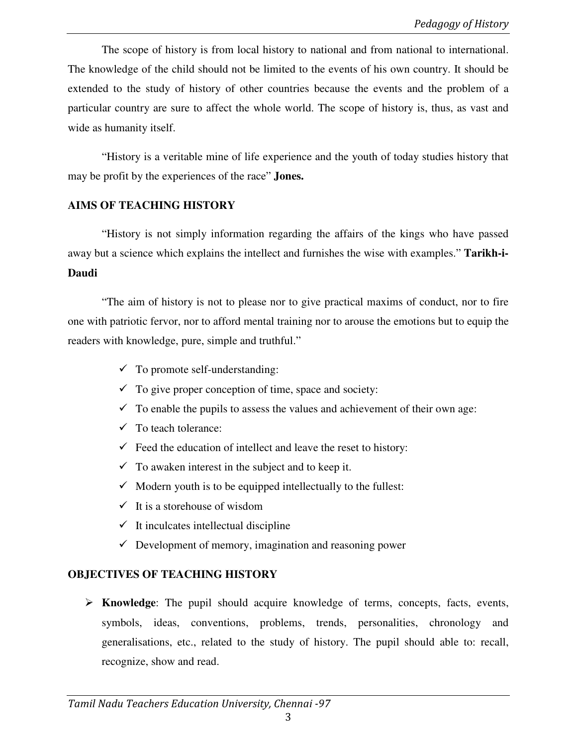The scope of history is from local history to national and from national to international. The knowledge of the child should not be limited to the events of his own country. It should be extended to the study of history of other countries because the events and the problem of a particular country are sure to affect the whole world. The scope of history is, thus, as vast and wide as humanity itself.

"History is a veritable mine of life experience and the youth of today studies history that may be profit by the experiences of the race" **Jones.** 

### **AIMS OF TEACHING HISTORY**

"History is not simply information regarding the affairs of the kings who have passed away but a science which explains the intellect and furnishes the wise with examples." **Tarikh-i-Daudi** 

"The aim of history is not to please nor to give practical maxims of conduct, nor to fire one with patriotic fervor, nor to afford mental training nor to arouse the emotions but to equip the readers with knowledge, pure, simple and truthful."

- To promote self-understanding:
- $\checkmark$  To give proper conception of time, space and society:
- $\checkmark$  To enable the pupils to assess the values and achievement of their own age:
- To teach tolerance:
- $\checkmark$  Feed the education of intellect and leave the reset to history:
- $\checkmark$  To awaken interest in the subject and to keep it.
- $\checkmark$  Modern youth is to be equipped intellectually to the fullest:
- $\checkmark$  It is a storehouse of wisdom
- $\checkmark$  It inculcates intellectual discipline
- Development of memory, imagination and reasoning power

### **OBJECTIVES OF TEACHING HISTORY**

 **Knowledge**: The pupil should acquire knowledge of terms, concepts, facts, events, symbols, ideas, conventions, problems, trends, personalities, chronology and generalisations, etc., related to the study of history. The pupil should able to: recall, recognize, show and read.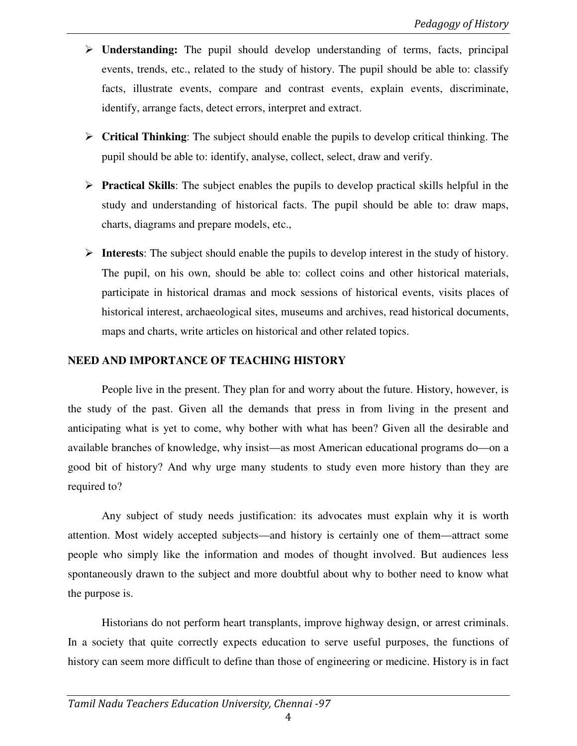- **Understanding:** The pupil should develop understanding of terms, facts, principal events, trends, etc., related to the study of history. The pupil should be able to: classify facts, illustrate events, compare and contrast events, explain events, discriminate, identify, arrange facts, detect errors, interpret and extract.
- **Critical Thinking**: The subject should enable the pupils to develop critical thinking. The pupil should be able to: identify, analyse, collect, select, draw and verify.
- **Practical Skills**: The subject enables the pupils to develop practical skills helpful in the study and understanding of historical facts. The pupil should be able to: draw maps, charts, diagrams and prepare models, etc.,
- **Interests**: The subject should enable the pupils to develop interest in the study of history. The pupil, on his own, should be able to: collect coins and other historical materials, participate in historical dramas and mock sessions of historical events, visits places of historical interest, archaeological sites, museums and archives, read historical documents, maps and charts, write articles on historical and other related topics.

### **NEED AND IMPORTANCE OF TEACHING HISTORY**

People live in the present. They plan for and worry about the future. History, however, is the study of the past. Given all the demands that press in from living in the present and anticipating what is yet to come, why bother with what has been? Given all the desirable and available branches of knowledge, why insist—as most American educational programs do—on a good bit of history? And why urge many students to study even more history than they are required to?

Any subject of study needs justification: its advocates must explain why it is worth attention. Most widely accepted subjects—and history is certainly one of them—attract some people who simply like the information and modes of thought involved. But audiences less spontaneously drawn to the subject and more doubtful about why to bother need to know what the purpose is.

Historians do not perform heart transplants, improve highway design, or arrest criminals. In a society that quite correctly expects education to serve useful purposes, the functions of history can seem more difficult to define than those of engineering or medicine. History is in fact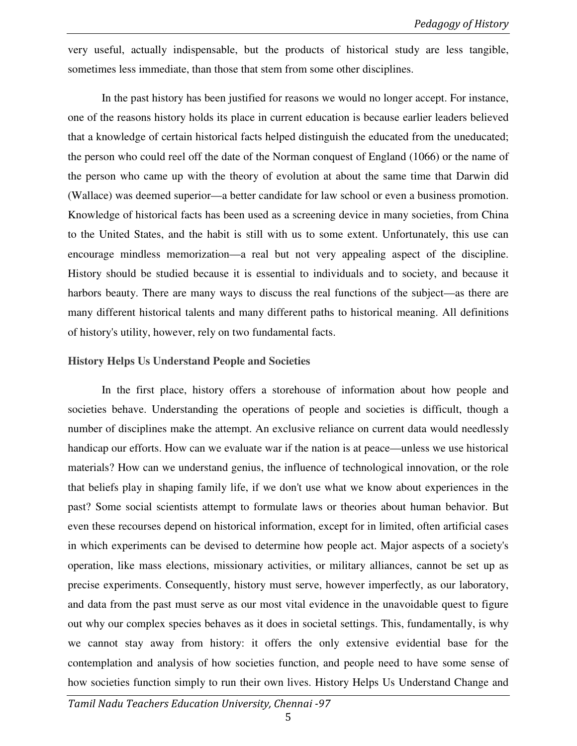very useful, actually indispensable, but the products of historical study are less tangible, sometimes less immediate, than those that stem from some other disciplines.

In the past history has been justified for reasons we would no longer accept. For instance, one of the reasons history holds its place in current education is because earlier leaders believed that a knowledge of certain historical facts helped distinguish the educated from the uneducated; the person who could reel off the date of the Norman conquest of England (1066) or the name of the person who came up with the theory of evolution at about the same time that Darwin did (Wallace) was deemed superior—a better candidate for law school or even a business promotion. Knowledge of historical facts has been used as a screening device in many societies, from China to the United States, and the habit is still with us to some extent. Unfortunately, this use can encourage mindless memorization—a real but not very appealing aspect of the discipline. History should be studied because it is essential to individuals and to society, and because it harbors beauty. There are many ways to discuss the real functions of the subject—as there are many different historical talents and many different paths to historical meaning. All definitions of history's utility, however, rely on two fundamental facts.

#### **History Helps Us Understand People and Societies**

In the first place, history offers a storehouse of information about how people and societies behave. Understanding the operations of people and societies is difficult, though a number of disciplines make the attempt. An exclusive reliance on current data would needlessly handicap our efforts. How can we evaluate war if the nation is at peace—unless we use historical materials? How can we understand genius, the influence of technological innovation, or the role that beliefs play in shaping family life, if we don't use what we know about experiences in the past? Some social scientists attempt to formulate laws or theories about human behavior. But even these recourses depend on historical information, except for in limited, often artificial cases in which experiments can be devised to determine how people act. Major aspects of a society's operation, like mass elections, missionary activities, or military alliances, cannot be set up as precise experiments. Consequently, history must serve, however imperfectly, as our laboratory, and data from the past must serve as our most vital evidence in the unavoidable quest to figure out why our complex species behaves as it does in societal settings. This, fundamentally, is why we cannot stay away from history: it offers the only extensive evidential base for the contemplation and analysis of how societies function, and people need to have some sense of how societies function simply to run their own lives. History Helps Us Understand Change and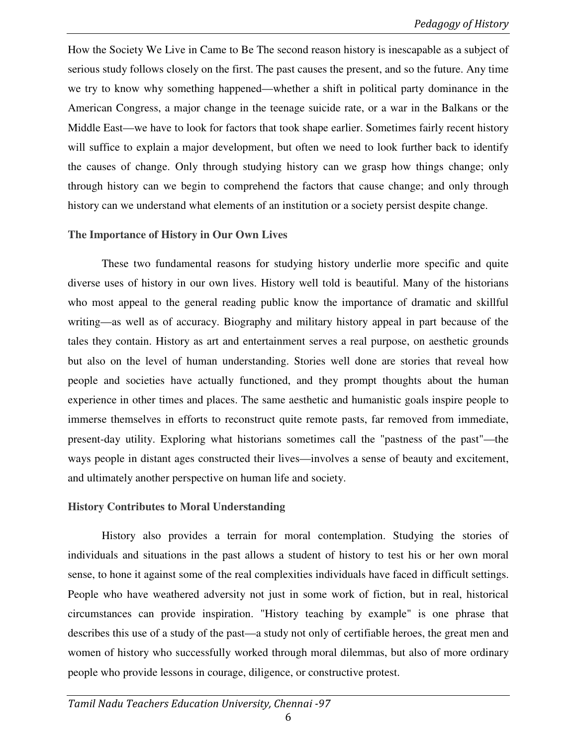How the Society We Live in Came to Be The second reason history is inescapable as a subject of serious study follows closely on the first. The past causes the present, and so the future. Any time we try to know why something happened—whether a shift in political party dominance in the American Congress, a major change in the teenage suicide rate, or a war in the Balkans or the Middle East—we have to look for factors that took shape earlier. Sometimes fairly recent history will suffice to explain a major development, but often we need to look further back to identify the causes of change. Only through studying history can we grasp how things change; only through history can we begin to comprehend the factors that cause change; and only through history can we understand what elements of an institution or a society persist despite change.

### **The Importance of History in Our Own Lives**

These two fundamental reasons for studying history underlie more specific and quite diverse uses of history in our own lives. History well told is beautiful. Many of the historians who most appeal to the general reading public know the importance of dramatic and skillful writing—as well as of accuracy. Biography and military history appeal in part because of the tales they contain. History as art and entertainment serves a real purpose, on aesthetic grounds but also on the level of human understanding. Stories well done are stories that reveal how people and societies have actually functioned, and they prompt thoughts about the human experience in other times and places. The same aesthetic and humanistic goals inspire people to immerse themselves in efforts to reconstruct quite remote pasts, far removed from immediate, present-day utility. Exploring what historians sometimes call the "pastness of the past"—the ways people in distant ages constructed their lives—involves a sense of beauty and excitement, and ultimately another perspective on human life and society.

### **History Contributes to Moral Understanding**

History also provides a terrain for moral contemplation. Studying the stories of individuals and situations in the past allows a student of history to test his or her own moral sense, to hone it against some of the real complexities individuals have faced in difficult settings. People who have weathered adversity not just in some work of fiction, but in real, historical circumstances can provide inspiration. "History teaching by example" is one phrase that describes this use of a study of the past—a study not only of certifiable heroes, the great men and women of history who successfully worked through moral dilemmas, but also of more ordinary people who provide lessons in courage, diligence, or constructive protest.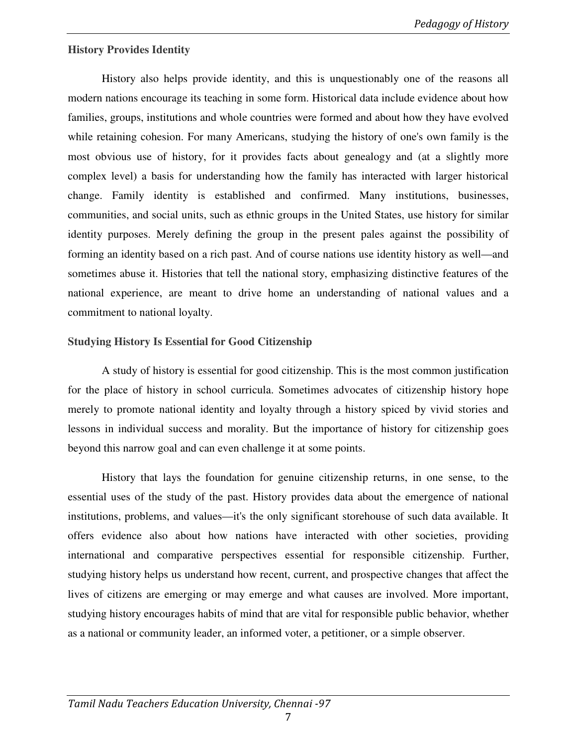### **History Provides Identity**

History also helps provide identity, and this is unquestionably one of the reasons all modern nations encourage its teaching in some form. Historical data include evidence about how families, groups, institutions and whole countries were formed and about how they have evolved while retaining cohesion. For many Americans, studying the history of one's own family is the most obvious use of history, for it provides facts about genealogy and (at a slightly more complex level) a basis for understanding how the family has interacted with larger historical change. Family identity is established and confirmed. Many institutions, businesses, communities, and social units, such as ethnic groups in the United States, use history for similar identity purposes. Merely defining the group in the present pales against the possibility of forming an identity based on a rich past. And of course nations use identity history as well—and sometimes abuse it. Histories that tell the national story, emphasizing distinctive features of the national experience, are meant to drive home an understanding of national values and a commitment to national loyalty.

### **Studying History Is Essential for Good Citizenship**

A study of history is essential for good citizenship. This is the most common justification for the place of history in school curricula. Sometimes advocates of citizenship history hope merely to promote national identity and loyalty through a history spiced by vivid stories and lessons in individual success and morality. But the importance of history for citizenship goes beyond this narrow goal and can even challenge it at some points.

History that lays the foundation for genuine citizenship returns, in one sense, to the essential uses of the study of the past. History provides data about the emergence of national institutions, problems, and values—it's the only significant storehouse of such data available. It offers evidence also about how nations have interacted with other societies, providing international and comparative perspectives essential for responsible citizenship. Further, studying history helps us understand how recent, current, and prospective changes that affect the lives of citizens are emerging or may emerge and what causes are involved. More important, studying history encourages habits of mind that are vital for responsible public behavior, whether as a national or community leader, an informed voter, a petitioner, or a simple observer.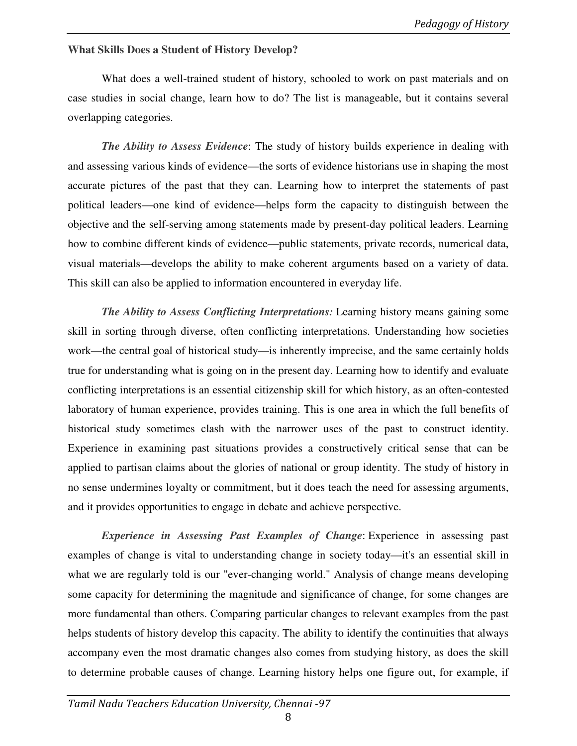### **What Skills Does a Student of History Develop?**

What does a well-trained student of history, schooled to work on past materials and on case studies in social change, learn how to do? The list is manageable, but it contains several overlapping categories.

*The Ability to Assess Evidence*: The study of history builds experience in dealing with and assessing various kinds of evidence—the sorts of evidence historians use in shaping the most accurate pictures of the past that they can. Learning how to interpret the statements of past political leaders—one kind of evidence—helps form the capacity to distinguish between the objective and the self-serving among statements made by present-day political leaders. Learning how to combine different kinds of evidence—public statements, private records, numerical data, visual materials—develops the ability to make coherent arguments based on a variety of data. This skill can also be applied to information encountered in everyday life.

*The Ability to Assess Conflicting Interpretations:* Learning history means gaining some skill in sorting through diverse, often conflicting interpretations. Understanding how societies work—the central goal of historical study—is inherently imprecise, and the same certainly holds true for understanding what is going on in the present day. Learning how to identify and evaluate conflicting interpretations is an essential citizenship skill for which history, as an often-contested laboratory of human experience, provides training. This is one area in which the full benefits of historical study sometimes clash with the narrower uses of the past to construct identity. Experience in examining past situations provides a constructively critical sense that can be applied to partisan claims about the glories of national or group identity. The study of history in no sense undermines loyalty or commitment, but it does teach the need for assessing arguments, and it provides opportunities to engage in debate and achieve perspective.

*Experience in Assessing Past Examples of Change*: Experience in assessing past examples of change is vital to understanding change in society today—it's an essential skill in what we are regularly told is our "ever-changing world." Analysis of change means developing some capacity for determining the magnitude and significance of change, for some changes are more fundamental than others. Comparing particular changes to relevant examples from the past helps students of history develop this capacity. The ability to identify the continuities that always accompany even the most dramatic changes also comes from studying history, as does the skill to determine probable causes of change. Learning history helps one figure out, for example, if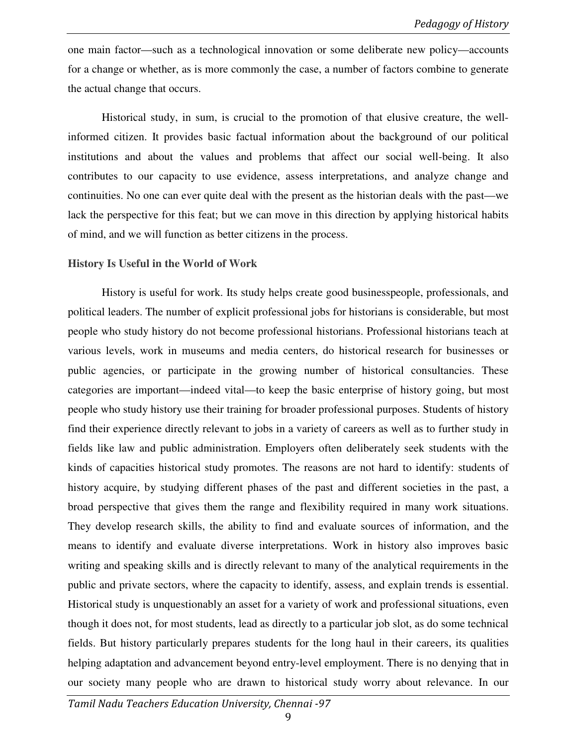one main factor—such as a technological innovation or some deliberate new policy—accounts for a change or whether, as is more commonly the case, a number of factors combine to generate the actual change that occurs.

Historical study, in sum, is crucial to the promotion of that elusive creature, the wellinformed citizen. It provides basic factual information about the background of our political institutions and about the values and problems that affect our social well-being. It also contributes to our capacity to use evidence, assess interpretations, and analyze change and continuities. No one can ever quite deal with the present as the historian deals with the past—we lack the perspective for this feat; but we can move in this direction by applying historical habits of mind, and we will function as better citizens in the process.

#### **History Is Useful in the World of Work**

History is useful for work. Its study helps create good businesspeople, professionals, and political leaders. The number of explicit professional jobs for historians is considerable, but most people who study history do not become professional historians. Professional historians teach at various levels, work in museums and media centers, do historical research for businesses or public agencies, or participate in the growing number of historical consultancies. These categories are important—indeed vital—to keep the basic enterprise of history going, but most people who study history use their training for broader professional purposes. Students of history find their experience directly relevant to jobs in a variety of careers as well as to further study in fields like law and public administration. Employers often deliberately seek students with the kinds of capacities historical study promotes. The reasons are not hard to identify: students of history acquire, by studying different phases of the past and different societies in the past, a broad perspective that gives them the range and flexibility required in many work situations. They develop research skills, the ability to find and evaluate sources of information, and the means to identify and evaluate diverse interpretations. Work in history also improves basic writing and speaking skills and is directly relevant to many of the analytical requirements in the public and private sectors, where the capacity to identify, assess, and explain trends is essential. Historical study is unquestionably an asset for a variety of work and professional situations, even though it does not, for most students, lead as directly to a particular job slot, as do some technical fields. But history particularly prepares students for the long haul in their careers, its qualities helping adaptation and advancement beyond entry-level employment. There is no denying that in our society many people who are drawn to historical study worry about relevance. In our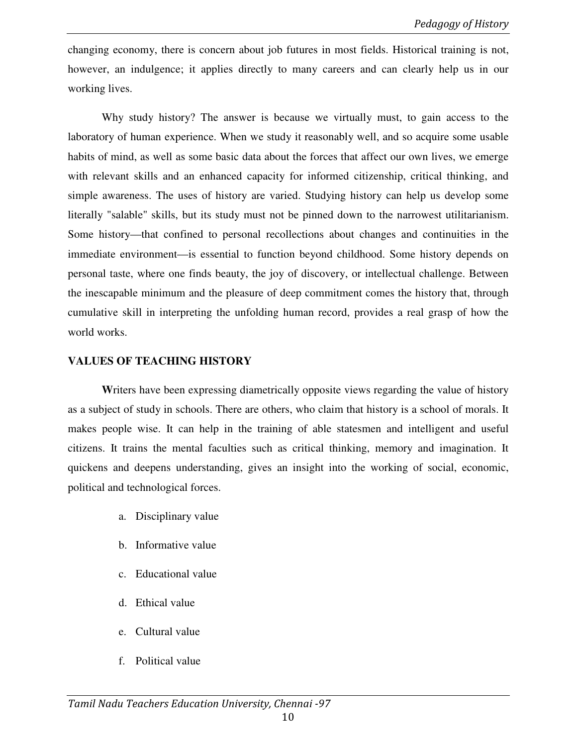changing economy, there is concern about job futures in most fields. Historical training is not, however, an indulgence; it applies directly to many careers and can clearly help us in our working lives.

Why study history? The answer is because we virtually must, to gain access to the laboratory of human experience. When we study it reasonably well, and so acquire some usable habits of mind, as well as some basic data about the forces that affect our own lives, we emerge with relevant skills and an enhanced capacity for informed citizenship, critical thinking, and simple awareness. The uses of history are varied. Studying history can help us develop some literally "salable" skills, but its study must not be pinned down to the narrowest utilitarianism. Some history—that confined to personal recollections about changes and continuities in the immediate environment—is essential to function beyond childhood. Some history depends on personal taste, where one finds beauty, the joy of discovery, or intellectual challenge. Between the inescapable minimum and the pleasure of deep commitment comes the history that, through cumulative skill in interpreting the unfolding human record, provides a real grasp of how the world works.

### **VALUES OF TEACHING HISTORY**

 **W**riters have been expressing diametrically opposite views regarding the value of history as a subject of study in schools. There are others, who claim that history is a school of morals. It makes people wise. It can help in the training of able statesmen and intelligent and useful citizens. It trains the mental faculties such as critical thinking, memory and imagination. It quickens and deepens understanding, gives an insight into the working of social, economic, political and technological forces.

- a. Disciplinary value
- b. Informative value
- c. Educational value
- d. Ethical value
- e. Cultural value
- f. Political value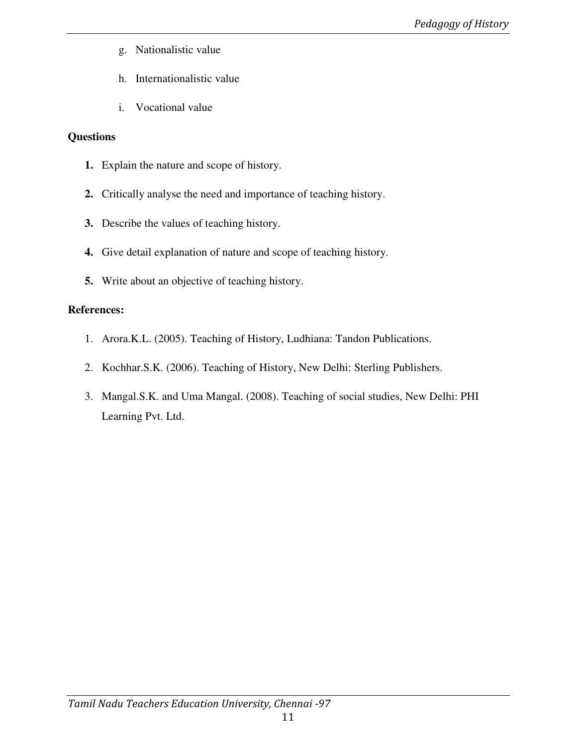- g. Nationalistic value
- h. Internationalistic value
- i. Vocational value

## **Questions**

- **1.** Explain the nature and scope of history.
- **2.** Critically analyse the need and importance of teaching history.
- **3.** Describe the values of teaching history.
- **4.** Give detail explanation of nature and scope of teaching history.
- **5.** Write about an objective of teaching history.

## **References:**

- 1. Arora.K.L. (2005). Teaching of History, Ludhiana: Tandon Publications.
- 2. Kochhar.S.K. (2006). Teaching of History, New Delhi: Sterling Publishers.
- 3. Mangal.S.K. and Uma Mangal. (2008). Teaching of social studies, New Delhi: PHI Learning Pvt. Ltd.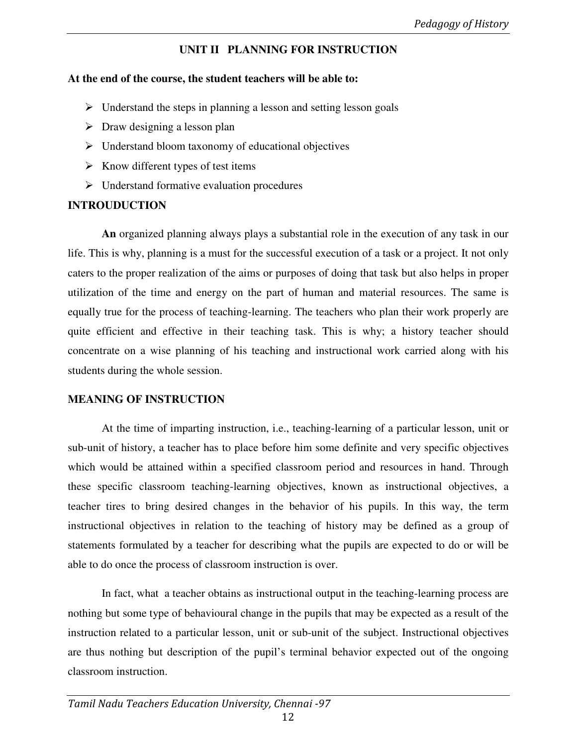### **UNIT II PLANNING FOR INSTRUCTION**

### **At the end of the course, the student teachers will be able to:**

- $\triangleright$  Understand the steps in planning a lesson and setting lesson goals
- $\triangleright$  Draw designing a lesson plan
- $\triangleright$  Understand bloom taxonomy of educational objectives
- $\triangleright$  Know different types of test items
- $\triangleright$  Understand formative evaluation procedures

### **INTROUDUCTION**

**An** organized planning always plays a substantial role in the execution of any task in our life. This is why, planning is a must for the successful execution of a task or a project. It not only caters to the proper realization of the aims or purposes of doing that task but also helps in proper utilization of the time and energy on the part of human and material resources. The same is equally true for the process of teaching-learning. The teachers who plan their work properly are quite efficient and effective in their teaching task. This is why; a history teacher should concentrate on a wise planning of his teaching and instructional work carried along with his students during the whole session.

### **MEANING OF INSTRUCTION**

At the time of imparting instruction, i.e., teaching-learning of a particular lesson, unit or sub-unit of history, a teacher has to place before him some definite and very specific objectives which would be attained within a specified classroom period and resources in hand. Through these specific classroom teaching-learning objectives, known as instructional objectives, a teacher tires to bring desired changes in the behavior of his pupils. In this way, the term instructional objectives in relation to the teaching of history may be defined as a group of statements formulated by a teacher for describing what the pupils are expected to do or will be able to do once the process of classroom instruction is over.

In fact, what a teacher obtains as instructional output in the teaching-learning process are nothing but some type of behavioural change in the pupils that may be expected as a result of the instruction related to a particular lesson, unit or sub-unit of the subject. Instructional objectives are thus nothing but description of the pupil's terminal behavior expected out of the ongoing classroom instruction.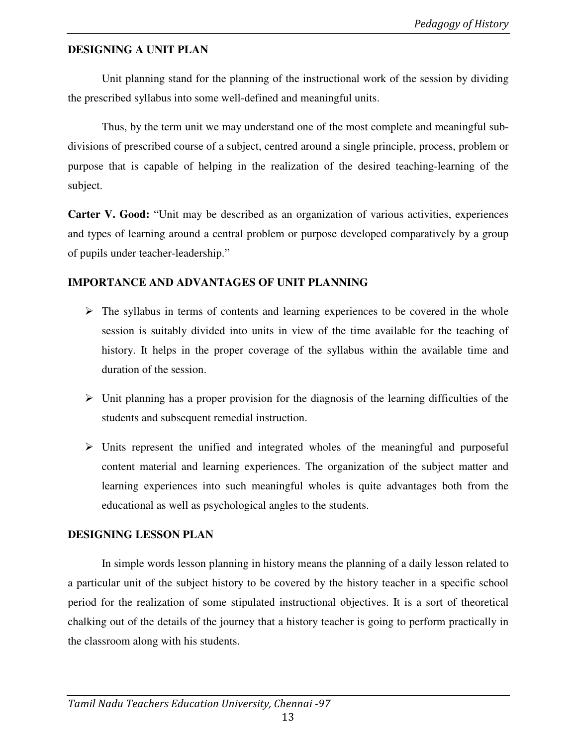### **DESIGNING A UNIT PLAN**

Unit planning stand for the planning of the instructional work of the session by dividing the prescribed syllabus into some well-defined and meaningful units.

Thus, by the term unit we may understand one of the most complete and meaningful subdivisions of prescribed course of a subject, centred around a single principle, process, problem or purpose that is capable of helping in the realization of the desired teaching-learning of the subject.

**Carter V. Good:** "Unit may be described as an organization of various activities, experiences and types of learning around a central problem or purpose developed comparatively by a group of pupils under teacher-leadership."

### **IMPORTANCE AND ADVANTAGES OF UNIT PLANNING**

- $\triangleright$  The syllabus in terms of contents and learning experiences to be covered in the whole session is suitably divided into units in view of the time available for the teaching of history. It helps in the proper coverage of the syllabus within the available time and duration of the session.
- $\triangleright$  Unit planning has a proper provision for the diagnosis of the learning difficulties of the students and subsequent remedial instruction.
- $\triangleright$  Units represent the unified and integrated wholes of the meaningful and purposeful content material and learning experiences. The organization of the subject matter and learning experiences into such meaningful wholes is quite advantages both from the educational as well as psychological angles to the students.

### **DESIGNING LESSON PLAN**

In simple words lesson planning in history means the planning of a daily lesson related to a particular unit of the subject history to be covered by the history teacher in a specific school period for the realization of some stipulated instructional objectives. It is a sort of theoretical chalking out of the details of the journey that a history teacher is going to perform practically in the classroom along with his students.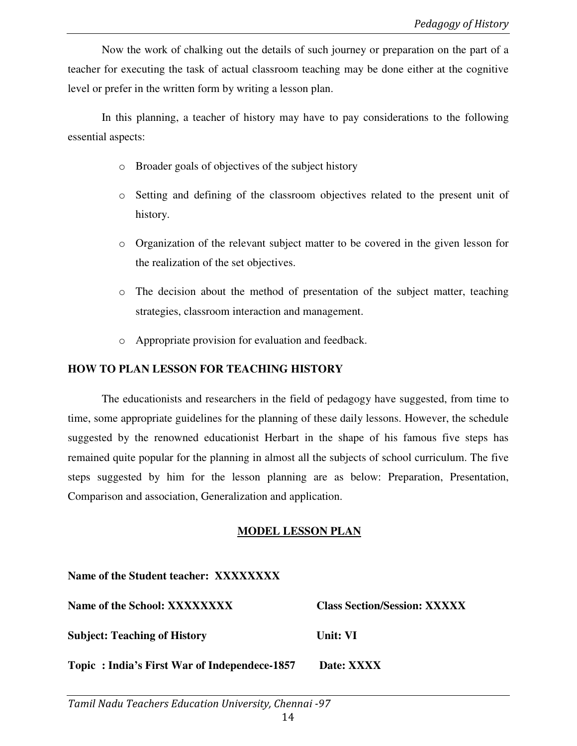Now the work of chalking out the details of such journey or preparation on the part of a teacher for executing the task of actual classroom teaching may be done either at the cognitive level or prefer in the written form by writing a lesson plan.

In this planning, a teacher of history may have to pay considerations to the following essential aspects:

- o Broader goals of objectives of the subject history
- o Setting and defining of the classroom objectives related to the present unit of history.
- o Organization of the relevant subject matter to be covered in the given lesson for the realization of the set objectives.
- o The decision about the method of presentation of the subject matter, teaching strategies, classroom interaction and management.
- o Appropriate provision for evaluation and feedback.

### **HOW TO PLAN LESSON FOR TEACHING HISTORY**

The educationists and researchers in the field of pedagogy have suggested, from time to time, some appropriate guidelines for the planning of these daily lessons. However, the schedule suggested by the renowned educationist Herbart in the shape of his famous five steps has remained quite popular for the planning in almost all the subjects of school curriculum. The five steps suggested by him for the lesson planning are as below: Preparation, Presentation, Comparison and association, Generalization and application.

### **MODEL LESSON PLAN**

**Name of the Student teacher: XXXXXXXX** 

| Name of the School: XXXXXXXX                 | <b>Class Section/Session: XXXXX</b> |
|----------------------------------------------|-------------------------------------|
| <b>Subject: Teaching of History</b>          | Unit: VI                            |
| Topic: India's First War of Independece-1857 | Date: XXXX                          |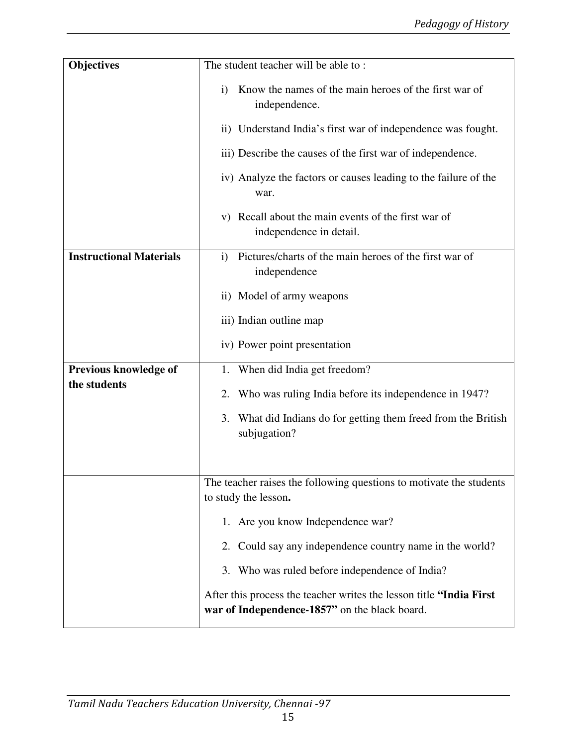| <b>Objectives</b>              | The student teacher will be able to:                                                                                  |  |  |  |  |
|--------------------------------|-----------------------------------------------------------------------------------------------------------------------|--|--|--|--|
|                                | Know the names of the main heroes of the first war of<br>$\mathbf{i}$<br>independence.                                |  |  |  |  |
|                                | ii) Understand India's first war of independence was fought.                                                          |  |  |  |  |
|                                | iii) Describe the causes of the first war of independence.                                                            |  |  |  |  |
|                                | iv) Analyze the factors or causes leading to the failure of the<br>war.                                               |  |  |  |  |
|                                | Recall about the main events of the first war of<br>V)<br>independence in detail.                                     |  |  |  |  |
| <b>Instructional Materials</b> | Pictures/charts of the main heroes of the first war of<br>$\mathbf{i}$<br>independence                                |  |  |  |  |
|                                | Model of army weapons<br>$\overline{11}$                                                                              |  |  |  |  |
|                                | iii) Indian outline map                                                                                               |  |  |  |  |
|                                | iv) Power point presentation                                                                                          |  |  |  |  |
| Previous knowledge of          | 1. When did India get freedom?                                                                                        |  |  |  |  |
| the students                   | 2. Who was ruling India before its independence in 1947?                                                              |  |  |  |  |
|                                | 3. What did Indians do for getting them freed from the British<br>subjugation?                                        |  |  |  |  |
|                                |                                                                                                                       |  |  |  |  |
|                                | The teacher raises the following questions to motivate the students<br>to study the lesson.                           |  |  |  |  |
|                                | 1. Are you know Independence war?                                                                                     |  |  |  |  |
|                                | 2. Could say any independence country name in the world?                                                              |  |  |  |  |
|                                | 3. Who was ruled before independence of India?                                                                        |  |  |  |  |
|                                | After this process the teacher writes the lesson title "India First"<br>war of Independence-1857" on the black board. |  |  |  |  |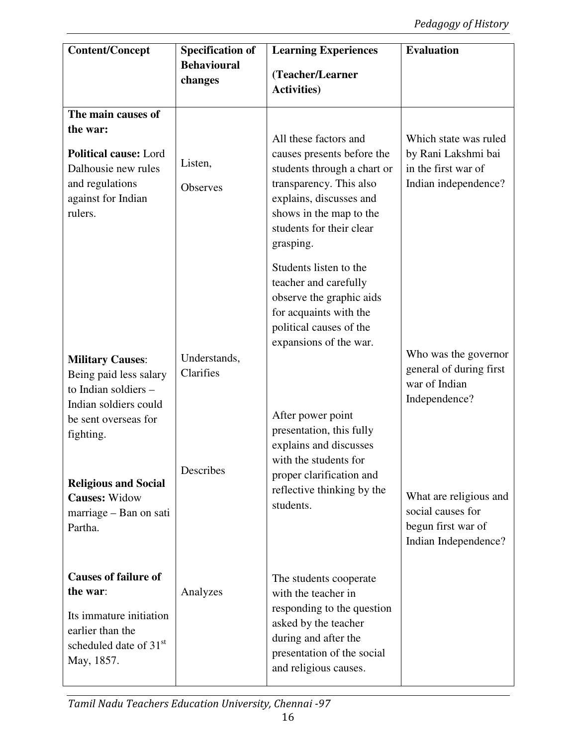| <b>Content/Concept</b>                                                                                                                     | <b>Specification of</b>       | <b>Learning Experiences</b>                                                                                                                                                         | <b>Evaluation</b>                                                                         |
|--------------------------------------------------------------------------------------------------------------------------------------------|-------------------------------|-------------------------------------------------------------------------------------------------------------------------------------------------------------------------------------|-------------------------------------------------------------------------------------------|
|                                                                                                                                            | <b>Behavioural</b><br>changes | (Teacher/Learner<br><b>Activities</b> )                                                                                                                                             |                                                                                           |
| The main causes of                                                                                                                         |                               |                                                                                                                                                                                     |                                                                                           |
| the war:                                                                                                                                   |                               | All these factors and                                                                                                                                                               | Which state was ruled                                                                     |
| <b>Political cause: Lord</b><br>Dalhousie new rules<br>and regulations<br>against for Indian<br>rulers.                                    | Listen,<br>Observes           | causes presents before the<br>students through a chart or<br>transparency. This also<br>explains, discusses and<br>shows in the map to the<br>students for their clear<br>grasping. | by Rani Lakshmi bai<br>in the first war of<br>Indian independence?                        |
|                                                                                                                                            |                               | Students listen to the<br>teacher and carefully<br>observe the graphic aids<br>for acquaints with the<br>political causes of the<br>expansions of the war.                          |                                                                                           |
| <b>Military Causes:</b><br>Being paid less salary<br>to Indian soldiers -<br>Indian soldiers could<br>be sent overseas for<br>fighting.    | Understands,<br>Clarifies     | After power point<br>presentation, this fully<br>explains and discusses                                                                                                             | Who was the governor<br>general of during first<br>war of Indian<br>Independence?         |
| <b>Religious and Social</b><br><b>Causes: Widow</b><br>marriage – Ban on sati<br>Partha.                                                   | Describes                     | with the students for<br>proper clarification and<br>reflective thinking by the<br>students.                                                                                        | What are religious and<br>social causes for<br>begun first war of<br>Indian Independence? |
| <b>Causes of failure of</b><br>the war:<br>Its immature initiation<br>earlier than the<br>scheduled date of 31 <sup>st</sup><br>May, 1857. | Analyzes                      | The students cooperate<br>with the teacher in<br>responding to the question<br>asked by the teacher<br>during and after the<br>presentation of the social<br>and religious causes.  |                                                                                           |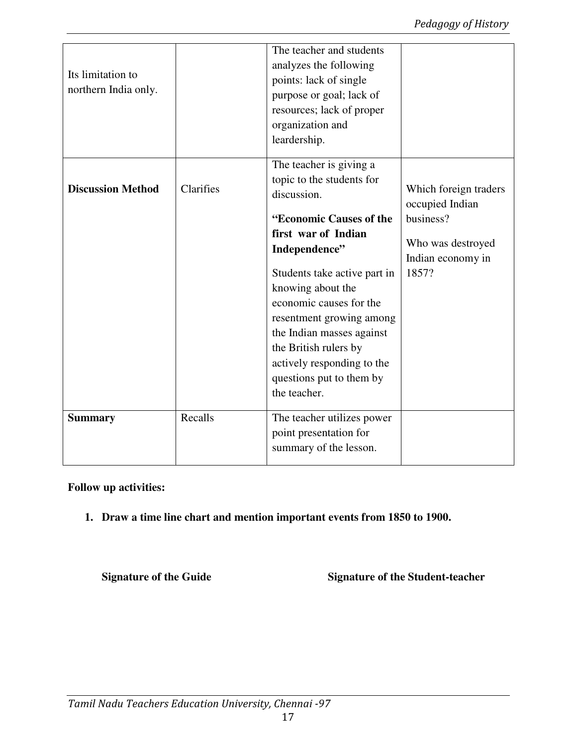| Its limitation to<br>northern India only. |           | The teacher and students<br>analyzes the following<br>points: lack of single<br>purpose or goal; lack of<br>resources; lack of proper<br>organization and<br>leardership.                                                                                                                                                                                                          |                                                                                                          |
|-------------------------------------------|-----------|------------------------------------------------------------------------------------------------------------------------------------------------------------------------------------------------------------------------------------------------------------------------------------------------------------------------------------------------------------------------------------|----------------------------------------------------------------------------------------------------------|
| <b>Discussion Method</b>                  | Clarifies | The teacher is giving a<br>topic to the students for<br>discussion.<br>"Economic Causes of the<br>first war of Indian<br>Independence"<br>Students take active part in<br>knowing about the<br>economic causes for the<br>resentment growing among<br>the Indian masses against<br>the British rulers by<br>actively responding to the<br>questions put to them by<br>the teacher. | Which foreign traders<br>occupied Indian<br>business?<br>Who was destroyed<br>Indian economy in<br>1857? |
| <b>Summary</b>                            | Recalls   | The teacher utilizes power<br>point presentation for<br>summary of the lesson.                                                                                                                                                                                                                                                                                                     |                                                                                                          |

## **Follow up activities:**

**1. Draw a time line chart and mention important events from 1850 to 1900.** 

**Signature of the Guide Signature of the Student-teacher**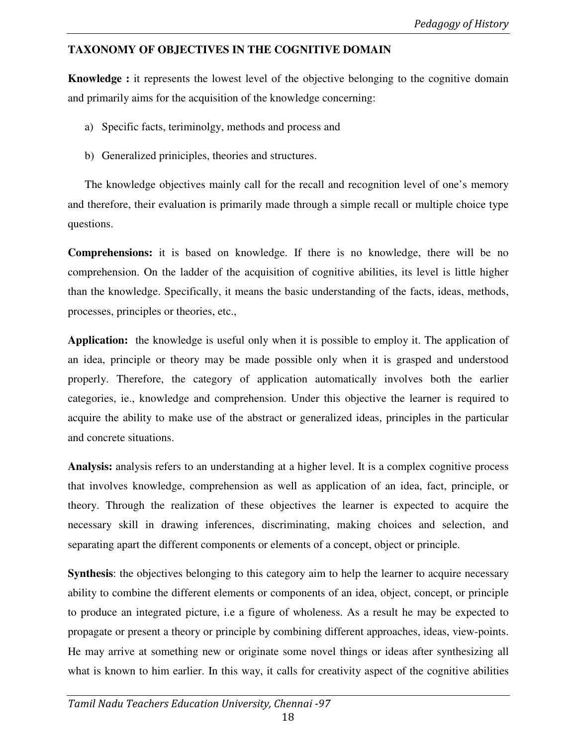## **TAXONOMY OF OBJECTIVES IN THE COGNITIVE DOMAIN**

**Knowledge :** it represents the lowest level of the objective belonging to the cognitive domain and primarily aims for the acquisition of the knowledge concerning:

- a) Specific facts, teriminolgy, methods and process and
- b) Generalized priniciples, theories and structures.

The knowledge objectives mainly call for the recall and recognition level of one's memory and therefore, their evaluation is primarily made through a simple recall or multiple choice type questions.

**Comprehensions:** it is based on knowledge. If there is no knowledge, there will be no comprehension. On the ladder of the acquisition of cognitive abilities, its level is little higher than the knowledge. Specifically, it means the basic understanding of the facts, ideas, methods, processes, principles or theories, etc.,

**Application:** the knowledge is useful only when it is possible to employ it. The application of an idea, principle or theory may be made possible only when it is grasped and understood properly. Therefore, the category of application automatically involves both the earlier categories, ie., knowledge and comprehension. Under this objective the learner is required to acquire the ability to make use of the abstract or generalized ideas, principles in the particular and concrete situations.

**Analysis:** analysis refers to an understanding at a higher level. It is a complex cognitive process that involves knowledge, comprehension as well as application of an idea, fact, principle, or theory. Through the realization of these objectives the learner is expected to acquire the necessary skill in drawing inferences, discriminating, making choices and selection, and separating apart the different components or elements of a concept, object or principle.

**Synthesis**: the objectives belonging to this category aim to help the learner to acquire necessary ability to combine the different elements or components of an idea, object, concept, or principle to produce an integrated picture, i.e a figure of wholeness. As a result he may be expected to propagate or present a theory or principle by combining different approaches, ideas, view-points. He may arrive at something new or originate some novel things or ideas after synthesizing all what is known to him earlier. In this way, it calls for creativity aspect of the cognitive abilities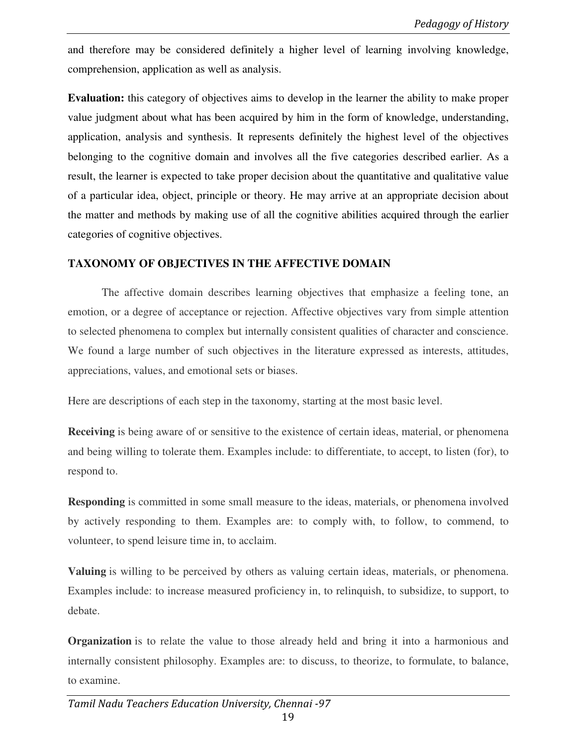and therefore may be considered definitely a higher level of learning involving knowledge, comprehension, application as well as analysis.

**Evaluation:** this category of objectives aims to develop in the learner the ability to make proper value judgment about what has been acquired by him in the form of knowledge, understanding, application, analysis and synthesis. It represents definitely the highest level of the objectives belonging to the cognitive domain and involves all the five categories described earlier. As a result, the learner is expected to take proper decision about the quantitative and qualitative value of a particular idea, object, principle or theory. He may arrive at an appropriate decision about the matter and methods by making use of all the cognitive abilities acquired through the earlier categories of cognitive objectives.

### **TAXONOMY OF OBJECTIVES IN THE AFFECTIVE DOMAIN**

The affective domain describes learning objectives that emphasize a feeling tone, an emotion, or a degree of acceptance or rejection. Affective objectives vary from simple attention to selected phenomena to complex but internally consistent qualities of character and conscience. We found a large number of such objectives in the literature expressed as interests, attitudes, appreciations, values, and emotional sets or biases.

Here are descriptions of each step in the taxonomy, starting at the most basic level.

**Receiving** is being aware of or sensitive to the existence of certain ideas, material, or phenomena and being willing to tolerate them. Examples include: to differentiate, to accept, to listen (for), to respond to.

**Responding** is committed in some small measure to the ideas, materials, or phenomena involved by actively responding to them. Examples are: to comply with, to follow, to commend, to volunteer, to spend leisure time in, to acclaim.

**Valuing** is willing to be perceived by others as valuing certain ideas, materials, or phenomena. Examples include: to increase measured proficiency in, to relinquish, to subsidize, to support, to debate.

**Organization** is to relate the value to those already held and bring it into a harmonious and internally consistent philosophy. Examples are: to discuss, to theorize, to formulate, to balance, to examine.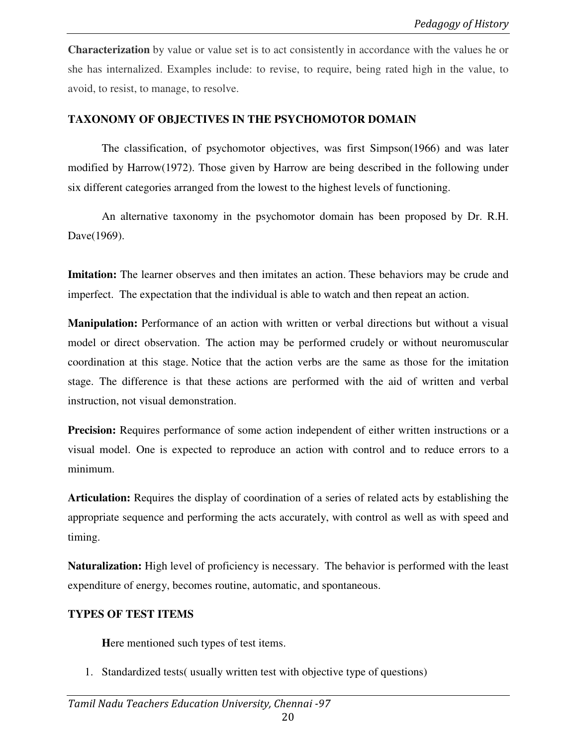**Characterization** by value or value set is to act consistently in accordance with the values he or she has internalized. Examples include: to revise, to require, being rated high in the value, to avoid, to resist, to manage, to resolve.

### **TAXONOMY OF OBJECTIVES IN THE PSYCHOMOTOR DOMAIN**

The classification, of psychomotor objectives, was first Simpson(1966) and was later modified by Harrow(1972). Those given by Harrow are being described in the following under six different categories arranged from the lowest to the highest levels of functioning.

An alternative taxonomy in the psychomotor domain has been proposed by Dr. R.H. Dave(1969).

**Imitation:** The learner observes and then imitates an action. These behaviors may be crude and imperfect. The expectation that the individual is able to watch and then repeat an action.

**Manipulation:** Performance of an action with written or verbal directions but without a visual model or direct observation. The action may be performed crudely or without neuromuscular coordination at this stage. Notice that the action verbs are the same as those for the imitation stage. The difference is that these actions are performed with the aid of written and verbal instruction, not visual demonstration.

**Precision:** Requires performance of some action independent of either written instructions or a visual model. One is expected to reproduce an action with control and to reduce errors to a minimum.

**Articulation:** Requires the display of coordination of a series of related acts by establishing the appropriate sequence and performing the acts accurately, with control as well as with speed and timing.

**Naturalization:** High level of proficiency is necessary. The behavior is performed with the least expenditure of energy, becomes routine, automatic, and spontaneous.

### **TYPES OF TEST ITEMS**

 **H**ere mentioned such types of test items.

1. Standardized tests( usually written test with objective type of questions)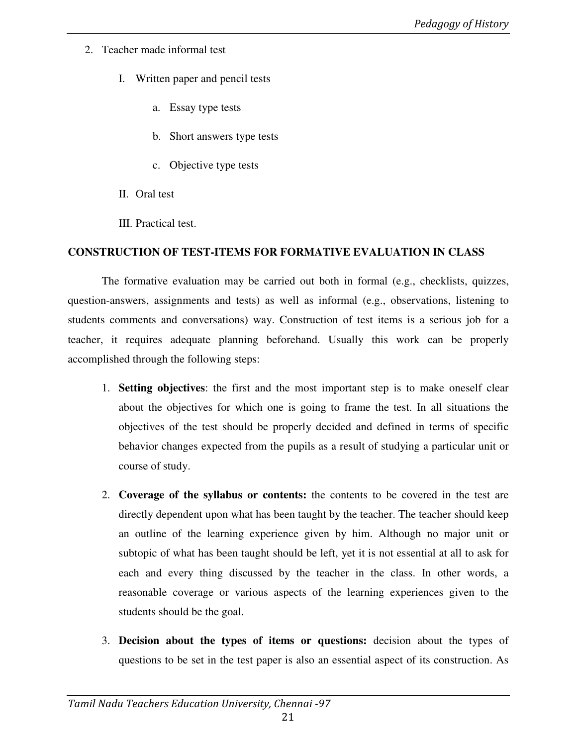- 2. Teacher made informal test
	- I. Written paper and pencil tests
		- a. Essay type tests
		- b. Short answers type tests
		- c. Objective type tests
	- II. Oral test
	- III. Practical test.

### **CONSTRUCTION OF TEST-ITEMS FOR FORMATIVE EVALUATION IN CLASS**

The formative evaluation may be carried out both in formal (e.g., checklists, quizzes, question-answers, assignments and tests) as well as informal (e.g., observations, listening to students comments and conversations) way. Construction of test items is a serious job for a teacher, it requires adequate planning beforehand. Usually this work can be properly accomplished through the following steps:

- 1. **Setting objectives**: the first and the most important step is to make oneself clear about the objectives for which one is going to frame the test. In all situations the objectives of the test should be properly decided and defined in terms of specific behavior changes expected from the pupils as a result of studying a particular unit or course of study.
- 2. **Coverage of the syllabus or contents:** the contents to be covered in the test are directly dependent upon what has been taught by the teacher. The teacher should keep an outline of the learning experience given by him. Although no major unit or subtopic of what has been taught should be left, yet it is not essential at all to ask for each and every thing discussed by the teacher in the class. In other words, a reasonable coverage or various aspects of the learning experiences given to the students should be the goal.
- 3. **Decision about the types of items or questions:** decision about the types of questions to be set in the test paper is also an essential aspect of its construction. As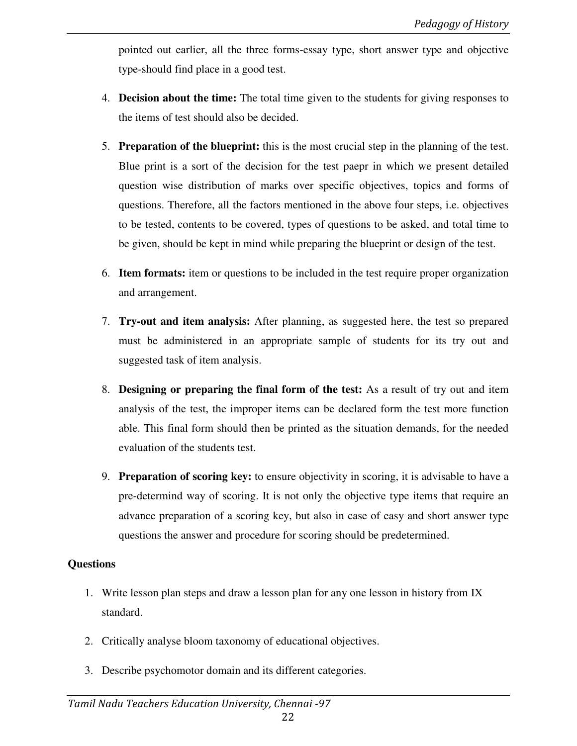pointed out earlier, all the three forms-essay type, short answer type and objective type-should find place in a good test.

- 4. **Decision about the time:** The total time given to the students for giving responses to the items of test should also be decided.
- 5. **Preparation of the blueprint:** this is the most crucial step in the planning of the test. Blue print is a sort of the decision for the test paepr in which we present detailed question wise distribution of marks over specific objectives, topics and forms of questions. Therefore, all the factors mentioned in the above four steps, i.e. objectives to be tested, contents to be covered, types of questions to be asked, and total time to be given, should be kept in mind while preparing the blueprint or design of the test.
- 6. **Item formats:** item or questions to be included in the test require proper organization and arrangement.
- 7. **Try-out and item analysis:** After planning, as suggested here, the test so prepared must be administered in an appropriate sample of students for its try out and suggested task of item analysis.
- 8. **Designing or preparing the final form of the test:** As a result of try out and item analysis of the test, the improper items can be declared form the test more function able. This final form should then be printed as the situation demands, for the needed evaluation of the students test.
- 9. **Preparation of scoring key:** to ensure objectivity in scoring, it is advisable to have a pre-determind way of scoring. It is not only the objective type items that require an advance preparation of a scoring key, but also in case of easy and short answer type questions the answer and procedure for scoring should be predetermined.

### **Questions**

- 1. Write lesson plan steps and draw a lesson plan for any one lesson in history from IX standard.
- 2. Critically analyse bloom taxonomy of educational objectives.
- 3. Describe psychomotor domain and its different categories.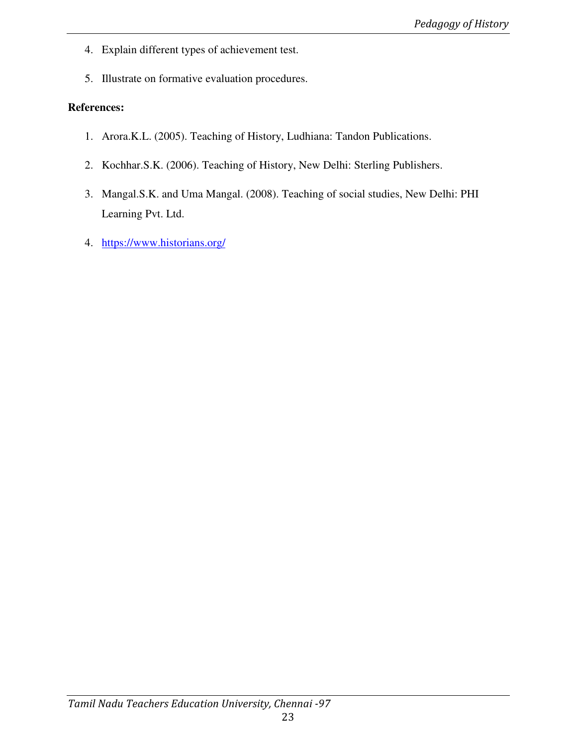- 4. Explain different types of achievement test.
- 5. Illustrate on formative evaluation procedures.

### **References:**

- 1. Arora.K.L. (2005). Teaching of History, Ludhiana: Tandon Publications.
- 2. Kochhar.S.K. (2006). Teaching of History, New Delhi: Sterling Publishers.
- 3. Mangal.S.K. and Uma Mangal. (2008). Teaching of social studies, New Delhi: PHI Learning Pvt. Ltd.
- 4. https://www.historians.org/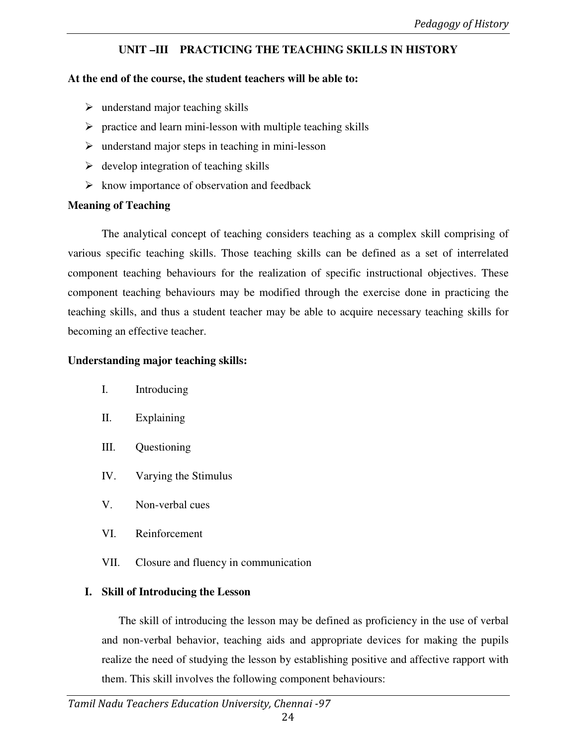## **UNIT –III PRACTICING THE TEACHING SKILLS IN HISTORY**

### **At the end of the course, the student teachers will be able to:**

- $\triangleright$  understand major teaching skills
- $\triangleright$  practice and learn mini-lesson with multiple teaching skills
- $\triangleright$  understand major steps in teaching in mini-lesson
- $\triangleright$  develop integration of teaching skills
- $\triangleright$  know importance of observation and feedback

### **Meaning of Teaching**

The analytical concept of teaching considers teaching as a complex skill comprising of various specific teaching skills. Those teaching skills can be defined as a set of interrelated component teaching behaviours for the realization of specific instructional objectives. These component teaching behaviours may be modified through the exercise done in practicing the teaching skills, and thus a student teacher may be able to acquire necessary teaching skills for becoming an effective teacher.

### **Understanding major teaching skills:**

- I. Introducing
- II. Explaining
- III. Questioning
- IV. Varying the Stimulus
- V. Non-verbal cues
- VI. Reinforcement
- VII. Closure and fluency in communication

### **I. Skill of Introducing the Lesson**

The skill of introducing the lesson may be defined as proficiency in the use of verbal and non-verbal behavior, teaching aids and appropriate devices for making the pupils realize the need of studying the lesson by establishing positive and affective rapport with them. This skill involves the following component behaviours: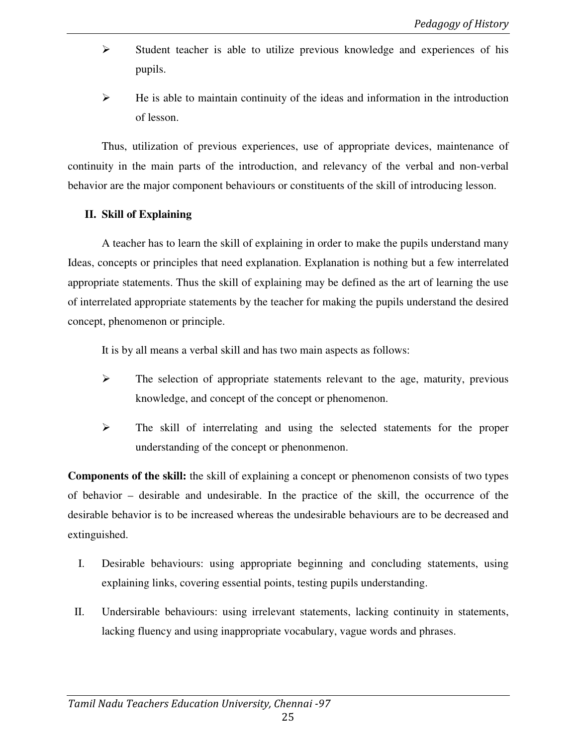- $\triangleright$  Student teacher is able to utilize previous knowledge and experiences of his pupils.
- $\triangleright$  He is able to maintain continuity of the ideas and information in the introduction of lesson.

Thus, utilization of previous experiences, use of appropriate devices, maintenance of continuity in the main parts of the introduction, and relevancy of the verbal and non-verbal behavior are the major component behaviours or constituents of the skill of introducing lesson.

### **II. Skill of Explaining**

A teacher has to learn the skill of explaining in order to make the pupils understand many Ideas, concepts or principles that need explanation. Explanation is nothing but a few interrelated appropriate statements. Thus the skill of explaining may be defined as the art of learning the use of interrelated appropriate statements by the teacher for making the pupils understand the desired concept, phenomenon or principle.

It is by all means a verbal skill and has two main aspects as follows:

- $\triangleright$  The selection of appropriate statements relevant to the age, maturity, previous knowledge, and concept of the concept or phenomenon.
- $\triangleright$  The skill of interrelating and using the selected statements for the proper understanding of the concept or phenonmenon.

**Components of the skill:** the skill of explaining a concept or phenomenon consists of two types of behavior – desirable and undesirable. In the practice of the skill, the occurrence of the desirable behavior is to be increased whereas the undesirable behaviours are to be decreased and extinguished.

- I. Desirable behaviours: using appropriate beginning and concluding statements, using explaining links, covering essential points, testing pupils understanding.
- II. Undersirable behaviours: using irrelevant statements, lacking continuity in statements, lacking fluency and using inappropriate vocabulary, vague words and phrases.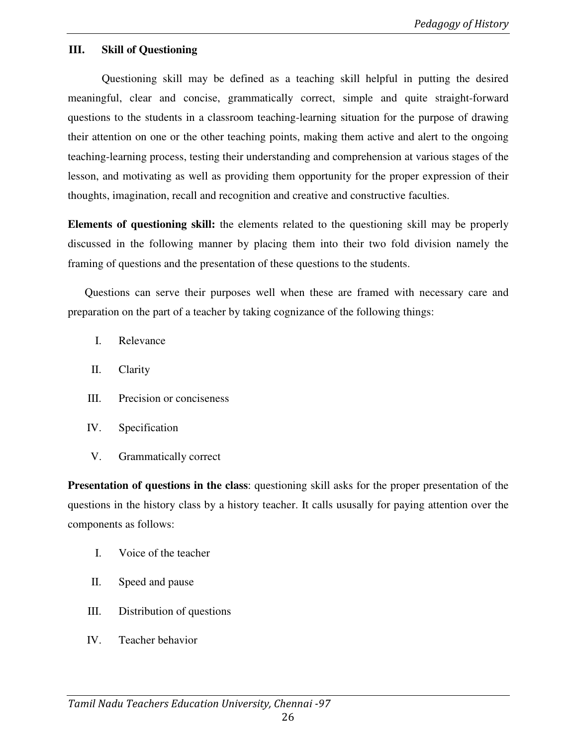### **III. Skill of Questioning**

Questioning skill may be defined as a teaching skill helpful in putting the desired meaningful, clear and concise, grammatically correct, simple and quite straight-forward questions to the students in a classroom teaching-learning situation for the purpose of drawing their attention on one or the other teaching points, making them active and alert to the ongoing teaching-learning process, testing their understanding and comprehension at various stages of the lesson, and motivating as well as providing them opportunity for the proper expression of their thoughts, imagination, recall and recognition and creative and constructive faculties.

**Elements of questioning skill:** the elements related to the questioning skill may be properly discussed in the following manner by placing them into their two fold division namely the framing of questions and the presentation of these questions to the students.

Questions can serve their purposes well when these are framed with necessary care and preparation on the part of a teacher by taking cognizance of the following things:

- I. Relevance
- II. Clarity
- III. Precision or conciseness
- IV. Specification
- V. Grammatically correct

**Presentation of questions in the class**: questioning skill asks for the proper presentation of the questions in the history class by a history teacher. It calls ususally for paying attention over the components as follows:

- I. Voice of the teacher
- II. Speed and pause
- III. Distribution of questions
- IV. Teacher behavior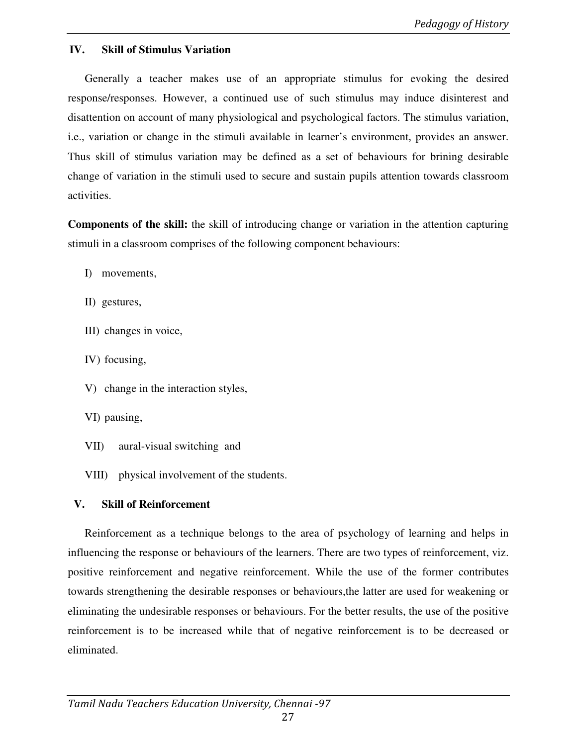### **IV. Skill of Stimulus Variation**

Generally a teacher makes use of an appropriate stimulus for evoking the desired response/responses. However, a continued use of such stimulus may induce disinterest and disattention on account of many physiological and psychological factors. The stimulus variation, i.e., variation or change in the stimuli available in learner's environment, provides an answer. Thus skill of stimulus variation may be defined as a set of behaviours for brining desirable change of variation in the stimuli used to secure and sustain pupils attention towards classroom activities.

**Components of the skill:** the skill of introducing change or variation in the attention capturing stimuli in a classroom comprises of the following component behaviours:

- I) movements,
- II) gestures,
- III) changes in voice,
- IV) focusing,
- V) change in the interaction styles,
- VI) pausing,
- VII) aural-visual switching and
- VIII) physical involvement of the students.

### **V. Skill of Reinforcement**

Reinforcement as a technique belongs to the area of psychology of learning and helps in influencing the response or behaviours of the learners. There are two types of reinforcement, viz. positive reinforcement and negative reinforcement. While the use of the former contributes towards strengthening the desirable responses or behaviours,the latter are used for weakening or eliminating the undesirable responses or behaviours. For the better results, the use of the positive reinforcement is to be increased while that of negative reinforcement is to be decreased or eliminated.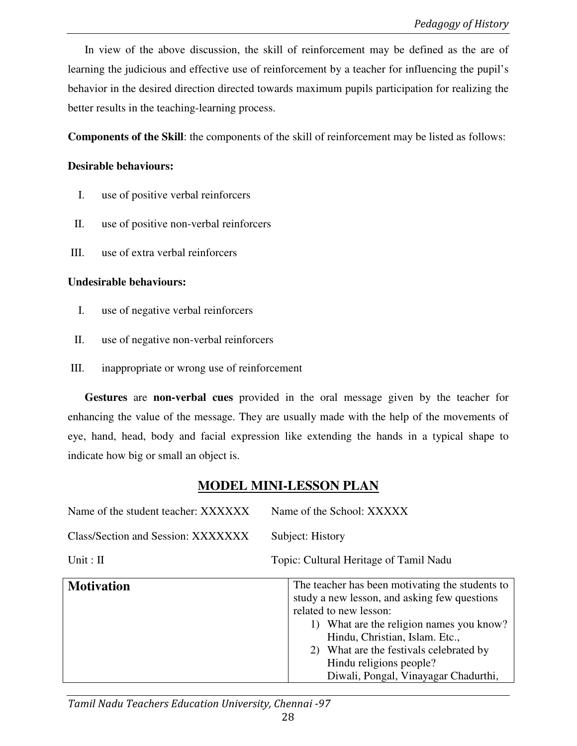In view of the above discussion, the skill of reinforcement may be defined as the are of learning the judicious and effective use of reinforcement by a teacher for influencing the pupil's behavior in the desired direction directed towards maximum pupils participation for realizing the better results in the teaching-learning process.

**Components of the Skill**: the components of the skill of reinforcement may be listed as follows:

### **Desirable behaviours:**

- I. use of positive verbal reinforcers
- II. use of positive non-verbal reinforcers
- III. use of extra verbal reinforcers

### **Undesirable behaviours:**

- I. use of negative verbal reinforcers
- II. use of negative non-verbal reinforcers
- III. inappropriate or wrong use of reinforcement

**Gestures** are **non-verbal cues** provided in the oral message given by the teacher for enhancing the value of the message. They are usually made with the help of the movements of eye, hand, head, body and facial expression like extending the hands in a typical shape to indicate how big or small an object is.

# **MODEL MINI-LESSON PLAN**

| Name of the student teacher: XXXXXX | Name of the School: XXXXX                                                                                                                                                                                                                                                                                             |  |
|-------------------------------------|-----------------------------------------------------------------------------------------------------------------------------------------------------------------------------------------------------------------------------------------------------------------------------------------------------------------------|--|
| Class/Section and Session: XXXXXXX  | Subject: History                                                                                                                                                                                                                                                                                                      |  |
| Unit : $II$                         | Topic: Cultural Heritage of Tamil Nadu                                                                                                                                                                                                                                                                                |  |
| <b>Motivation</b>                   | The teacher has been motivating the students to<br>study a new lesson, and asking few questions<br>related to new lesson:<br>1) What are the religion names you know?<br>Hindu, Christian, Islam. Etc.,<br>2) What are the festivals celebrated by<br>Hindu religions people?<br>Diwali, Pongal, Vinayagar Chadurthi, |  |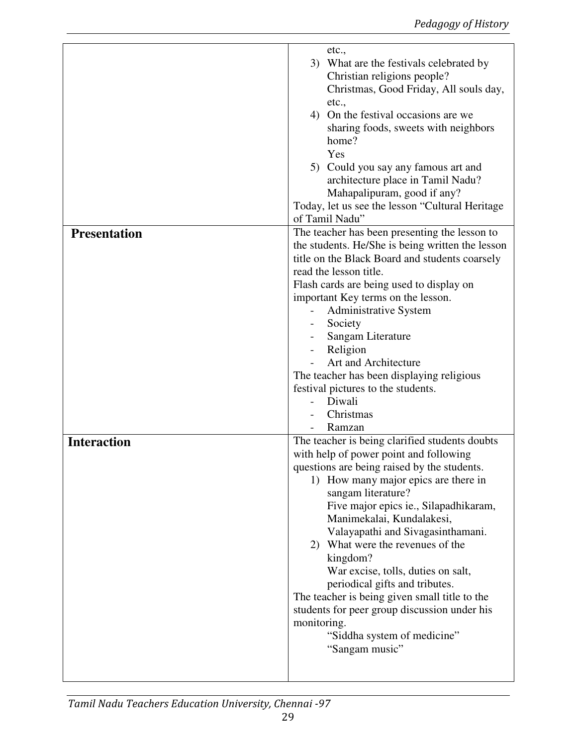|                     | etc.,<br>3) What are the festivals celebrated by<br>Christian religions people?     |
|---------------------|-------------------------------------------------------------------------------------|
|                     | Christmas, Good Friday, All souls day,                                              |
|                     | etc.,                                                                               |
|                     | 4) On the festival occasions are we                                                 |
|                     | sharing foods, sweets with neighbors                                                |
|                     | home?                                                                               |
|                     | Yes                                                                                 |
|                     | 5) Could you say any famous art and<br>architecture place in Tamil Nadu?            |
|                     | Mahapalipuram, good if any?                                                         |
|                     | Today, let us see the lesson "Cultural Heritage"                                    |
|                     | of Tamil Nadu"                                                                      |
| <b>Presentation</b> | The teacher has been presenting the lesson to                                       |
|                     | the students. He/She is being written the lesson                                    |
|                     | title on the Black Board and students coarsely                                      |
|                     | read the lesson title.                                                              |
|                     | Flash cards are being used to display on                                            |
|                     | important Key terms on the lesson.                                                  |
|                     | Administrative System<br>Society                                                    |
|                     | Sangam Literature                                                                   |
|                     | Religion                                                                            |
|                     | Art and Architecture                                                                |
|                     | The teacher has been displaying religious                                           |
|                     | festival pictures to the students.                                                  |
|                     | Diwali                                                                              |
|                     | Christmas                                                                           |
|                     | Ramzan                                                                              |
| <b>Interaction</b>  | The teacher is being clarified students doubts                                      |
|                     | with help of power point and following                                              |
|                     | questions are being raised by the students.<br>1) How many major epics are there in |
|                     | sangam literature?                                                                  |
|                     | Five major epics ie., Silapadhikaram,                                               |
|                     | Manimekalai, Kundalakesi,                                                           |
|                     | Valayapathi and Sivagasinthamani.                                                   |
|                     | 2) What were the revenues of the                                                    |
|                     | kingdom?                                                                            |
|                     | War excise, tolls, duties on salt,                                                  |
|                     | periodical gifts and tributes.                                                      |
|                     | The teacher is being given small title to the                                       |
|                     | students for peer group discussion under his<br>monitoring.                         |
|                     | "Siddha system of medicine"                                                         |
|                     | "Sangam music"                                                                      |
|                     |                                                                                     |
|                     |                                                                                     |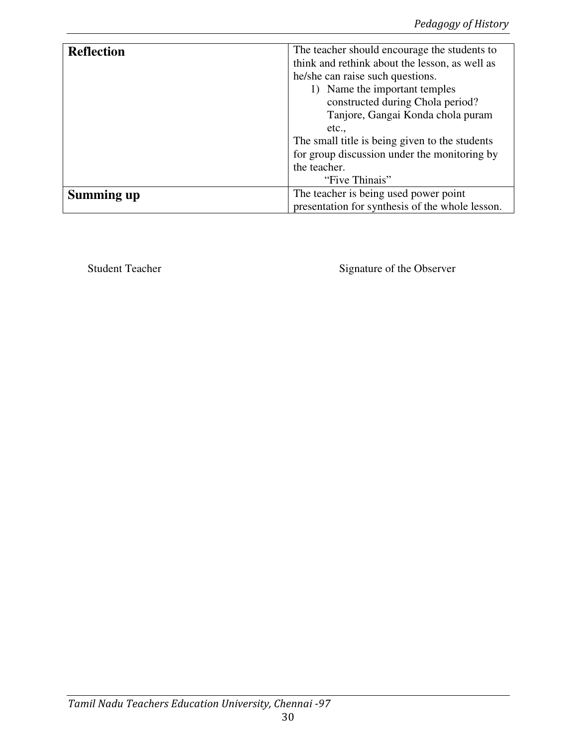| <b>Reflection</b> | The teacher should encourage the students to    |  |  |
|-------------------|-------------------------------------------------|--|--|
|                   | think and rethink about the lesson, as well as  |  |  |
|                   | he/she can raise such questions.                |  |  |
|                   | 1) Name the important temples                   |  |  |
|                   | constructed during Chola period?                |  |  |
|                   | Tanjore, Gangai Konda chola puram               |  |  |
|                   | etc.,                                           |  |  |
|                   | The small title is being given to the students  |  |  |
|                   | for group discussion under the monitoring by    |  |  |
|                   | the teacher.                                    |  |  |
|                   | "Five Thinais"                                  |  |  |
| <b>Summing up</b> | The teacher is being used power point           |  |  |
|                   | presentation for synthesis of the whole lesson. |  |  |

Student Teacher Student Teacher Signature of the Observer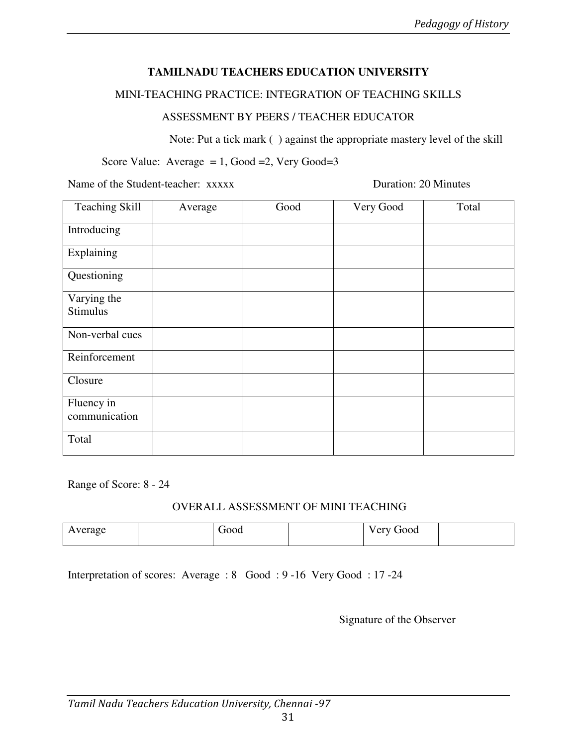### **TAMILNADU TEACHERS EDUCATION UNIVERSITY**

#### MINI-TEACHING PRACTICE: INTEGRATION OF TEACHING SKILLS

### ASSESSMENT BY PEERS / TEACHER EDUCATOR

Note: Put a tick mark ( ) against the appropriate mastery level of the skill

Score Value: Average  $= 1$ , Good  $= 2$ , Very Good $= 3$ 

Name of the Student-teacher: xxxxx Duration: 20 Minutes

| <b>Teaching Skill</b> | Average | Good | Very Good | Total |
|-----------------------|---------|------|-----------|-------|
| Introducing           |         |      |           |       |
| Explaining            |         |      |           |       |
| Questioning           |         |      |           |       |
| Varying the           |         |      |           |       |
| <b>Stimulus</b>       |         |      |           |       |
| Non-verbal cues       |         |      |           |       |
| Reinforcement         |         |      |           |       |
| Closure               |         |      |           |       |
| Fluency in            |         |      |           |       |
| communication         |         |      |           |       |
| Total                 |         |      |           |       |

Range of Score: 8 - 24

### OVERALL ASSESSMENT OF MINI TEACHING

| Average |  | iood<br>$\alpha$ merry |  |
|---------|--|------------------------|--|

Interpretation of scores: Average : 8 Good : 9 -16 Very Good : 17 -24

Signature of the Observer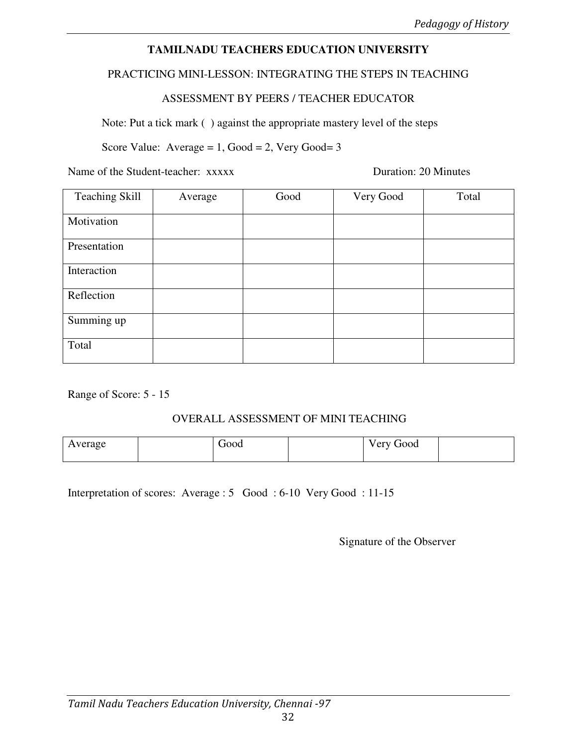### **TAMILNADU TEACHERS EDUCATION UNIVERSITY**

### PRACTICING MINI-LESSON: INTEGRATING THE STEPS IN TEACHING

### ASSESSMENT BY PEERS / TEACHER EDUCATOR

Note: Put a tick mark ( ) against the appropriate mastery level of the steps

Score Value: Average =  $1, Good = 2, Very Good = 3$ 

Name of the Student-teacher: xxxxx Duration: 20 Minutes

| <b>Teaching Skill</b> | Average | Good | Very Good | Total |
|-----------------------|---------|------|-----------|-------|
| Motivation            |         |      |           |       |
| Presentation          |         |      |           |       |
| Interaction           |         |      |           |       |
| Reflection            |         |      |           |       |
| Summing up            |         |      |           |       |
| Total                 |         |      |           |       |

Range of Score: 5 - 15

### OVERALL ASSESSMENT OF MINI TEACHING

| Average | 000t | Good<br>$\mathbf{u}$ $\mathbf{v}$ |  |
|---------|------|-----------------------------------|--|
|         |      |                                   |  |

Interpretation of scores: Average : 5 Good : 6-10 Very Good : 11-15

Signature of the Observer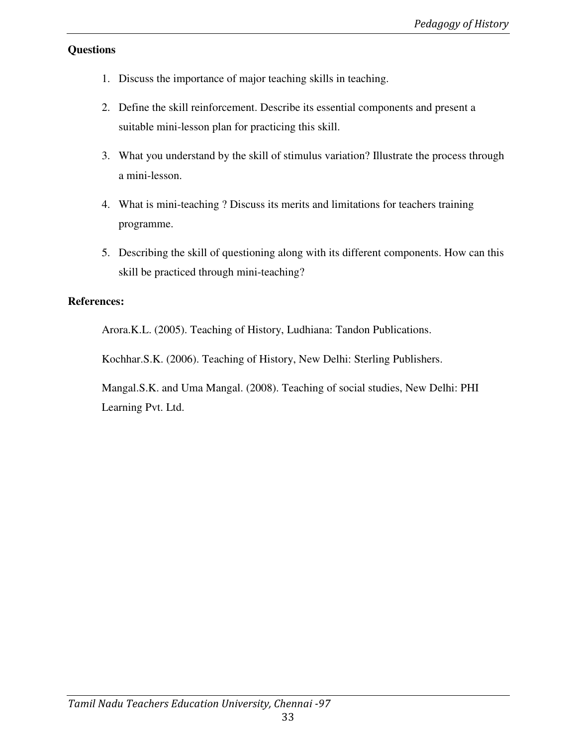### **Questions**

- 1. Discuss the importance of major teaching skills in teaching.
- 2. Define the skill reinforcement. Describe its essential components and present a suitable mini-lesson plan for practicing this skill.
- 3. What you understand by the skill of stimulus variation? Illustrate the process through a mini-lesson.
- 4. What is mini-teaching ? Discuss its merits and limitations for teachers training programme.
- 5. Describing the skill of questioning along with its different components. How can this skill be practiced through mini-teaching?

### **References:**

Arora.K.L. (2005). Teaching of History, Ludhiana: Tandon Publications.

Kochhar.S.K. (2006). Teaching of History, New Delhi: Sterling Publishers.

Mangal.S.K. and Uma Mangal. (2008). Teaching of social studies, New Delhi: PHI Learning Pvt. Ltd.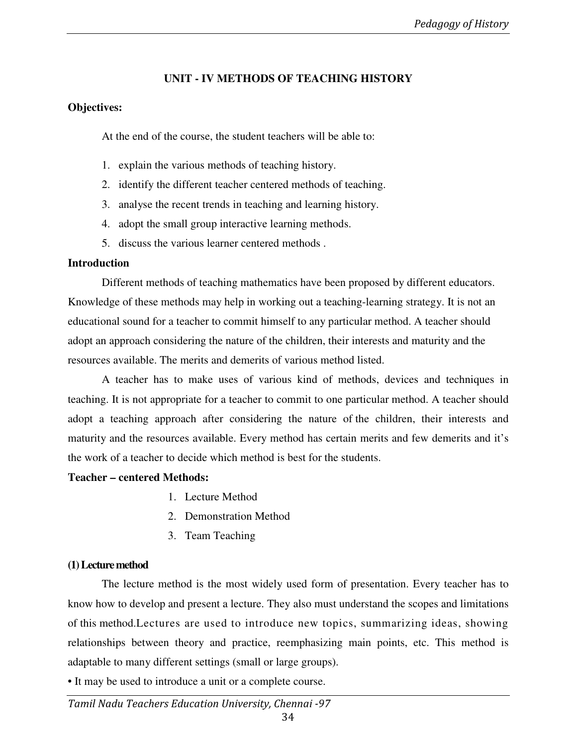### **UNIT - IV METHODS OF TEACHING HISTORY**

#### **Objectives:**

At the end of the course, the student teachers will be able to:

- 1. explain the various methods of teaching history.
- 2. identify the different teacher centered methods of teaching.
- 3. analyse the recent trends in teaching and learning history.
- 4. adopt the small group interactive learning methods.
- 5. discuss the various learner centered methods .

#### **Introduction**

 Different methods of teaching mathematics have been proposed by different educators. Knowledge of these methods may help in working out a teaching-learning strategy. It is not an educational sound for a teacher to commit himself to any particular method. A teacher should adopt an approach considering the nature of the children, their interests and maturity and the resources available. The merits and demerits of various method listed.

A teacher has to make uses of various kind of methods, devices and techniques in teaching. It is not appropriate for a teacher to commit to one particular method. A teacher should adopt a teaching approach after considering the nature of the children, their interests and maturity and the resources available. Every method has certain merits and few demerits and it's the work of a teacher to decide which method is best for the students.

#### **Teacher – centered Methods:**

- 1. Lecture Method
- 2. Demonstration Method
- 3. Team Teaching

#### **(1) Lecture method**

The lecture method is the most widely used form of presentation. Every teacher has to know how to develop and present a lecture. They also must understand the scopes and limitations of this method.Lectures are used to introduce new topics, summarizing ideas, showing relationships between theory and practice, reemphasizing main points, etc. This method is adaptable to many different settings (small or large groups).

• It may be used to introduce a unit or a complete course.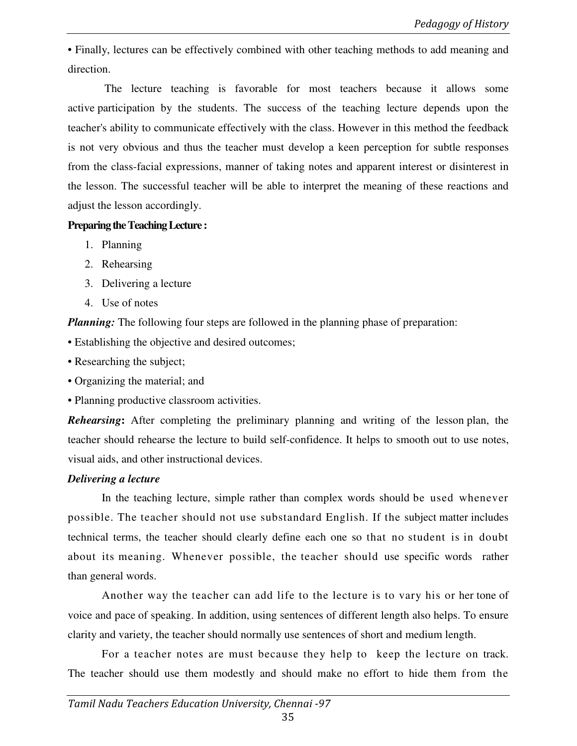• Finally, lectures can be effectively combined with other teaching methods to add meaning and direction.

 The lecture teaching is favorable for most teachers because it allows some active participation by the students. The success of the teaching lecture depends upon the teacher's ability to communicate effectively with the class. However in this method the feedback is not very obvious and thus the teacher must develop a keen perception for subtle responses from the class-facial expressions, manner of taking notes and apparent interest or disinterest in the lesson. The successful teacher will be able to interpret the meaning of these reactions and adjust the lesson accordingly.

#### **Preparing the Teaching Lecture :**

- 1. Planning
- 2. Rehearsing
- 3. Delivering a lecture
- 4. Use of notes

*Planning*: The following four steps are followed in the planning phase of preparation:

- Establishing the objective and desired outcomes;
- Researching the subject;
- Organizing the material; and
- Planning productive classroom activities.

**Rehearsing:** After completing the preliminary planning and writing of the lesson plan, the teacher should rehearse the lecture to build self-confidence. It helps to smooth out to use notes, visual aids, and other instructional devices.

### *Delivering a lecture*

 In the teaching lecture, simple rather than complex words should be used whenever possible. The teacher should not use substandard English. If the subject matter includes technical terms, the teacher should clearly define each one so that no student is in doubt about its meaning. Whenever possible, the teacher should use specific words rather than general words.

 Another way the teacher can add life to the lecture is to vary his or her tone of voice and pace of speaking. In addition, using sentences of different length also helps. To ensure clarity and variety, the teacher should normally use sentences of short and medium length.

For a teacher notes are must because they help to keep the lecture on track. The teacher should use them modestly and should make no effort to hide them from the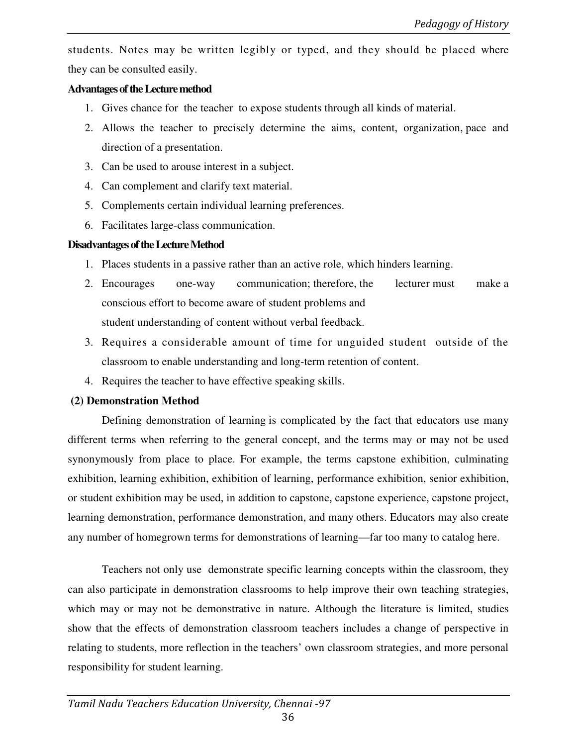students. Notes may be written legibly or typed, and they should be placed where they can be consulted easily.

### **Advantages of the Lecture method**

- 1. Gives chance for the teacher to expose students through all kinds of material.
- 2. Allows the teacher to precisely determine the aims, content, organization, pace and direction of a presentation.
- 3. Can be used to arouse interest in a subject.
- 4. Can complement and clarify text material.
- 5. Complements certain individual learning preferences.
- 6. Facilitates large-class communication.

## **Disadvantages of the Lecture Method**

- 1. Places students in a passive rather than an active role, which hinders learning.
- 2. Encourages one-way communication; therefore, the lecturer must make a conscious effort to become aware of student problems and student understanding of content without verbal feedback.
- 3. Requires a considerable amount of time for unguided student outside of the classroom to enable understanding and long-term retention of content.
- 4. Requires the teacher to have effective speaking skills.

## **(2) Demonstration Method**

Defining demonstration of learning is complicated by the fact that educators use many different terms when referring to the general concept, and the terms may or may not be used synonymously from place to place. For example, the terms capstone exhibition, culminating exhibition, learning exhibition, exhibition of learning, performance exhibition, senior exhibition, or student exhibition may be used, in addition to capstone, capstone experience, capstone project, learning demonstration, performance demonstration, and many others. Educators may also create any number of homegrown terms for demonstrations of learning—far too many to catalog here.

Teachers not only use demonstrate specific learning concepts within the classroom, they can also participate in demonstration classrooms to help improve their own teaching strategies, which may or may not be demonstrative in nature. Although the literature is limited, studies show that the effects of demonstration classroom teachers includes a change of perspective in relating to students, more reflection in the teachers' own classroom strategies, and more personal responsibility for student learning.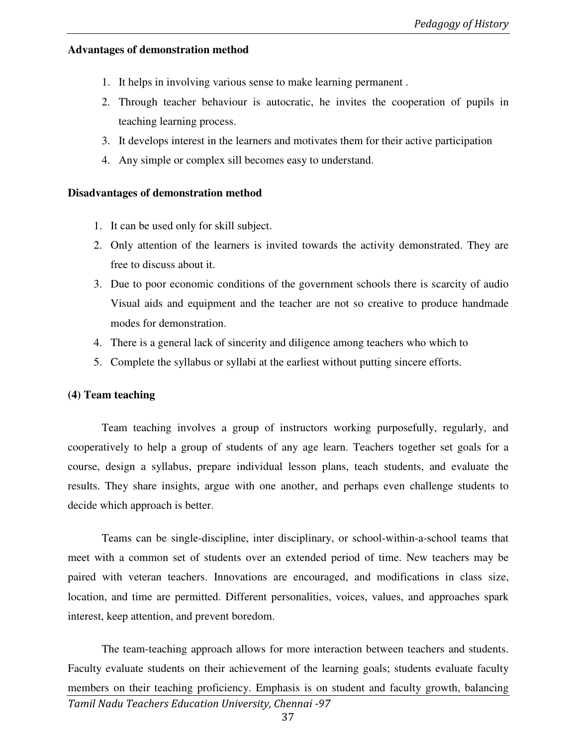#### **Advantages of demonstration method**

- 1. It helps in involving various sense to make learning permanent .
- 2. Through teacher behaviour is autocratic, he invites the cooperation of pupils in teaching learning process.
- 3. It develops interest in the learners and motivates them for their active participation
- 4. Any simple or complex sill becomes easy to understand.

#### **Disadvantages of demonstration method**

- 1. It can be used only for skill subject.
- 2. Only attention of the learners is invited towards the activity demonstrated. They are free to discuss about it.
- 3. Due to poor economic conditions of the government schools there is scarcity of audio Visual aids and equipment and the teacher are not so creative to produce handmade modes for demonstration.
- 4. There is a general lack of sincerity and diligence among teachers who which to
- 5. Complete the syllabus or syllabi at the earliest without putting sincere efforts.

#### **(4) Team teaching**

Team teaching involves a group of instructors working purposefully, regularly, and cooperatively to help a group of students of any age learn. Teachers together set goals for a course, design a syllabus, prepare individual lesson plans, teach students, and evaluate the results. They share insights, argue with one another, and perhaps even challenge students to decide which approach is better.

Teams can be single-discipline, inter disciplinary, or school-within-a-school teams that meet with a common set of students over an extended period of time. New teachers may be paired with veteran teachers. Innovations are encouraged, and modifications in class size, location, and time are permitted. Different personalities, voices, values, and approaches spark interest, keep attention, and prevent boredom.

*Tamil Nadu Teachers Education University, Chennai -97* The team-teaching approach allows for more interaction between teachers and students. Faculty evaluate students on their achievement of the learning goals; students evaluate faculty members on their teaching proficiency. Emphasis is on student and faculty growth, balancing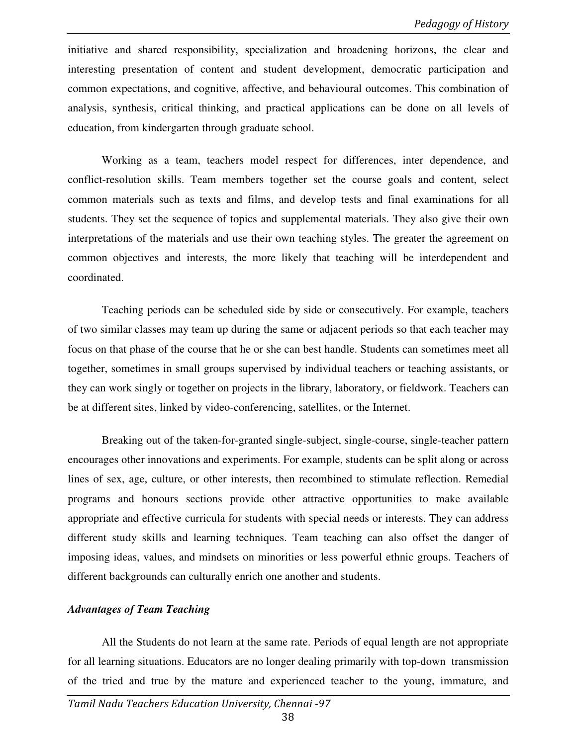initiative and shared responsibility, specialization and broadening horizons, the clear and interesting presentation of content and student development, democratic participation and common expectations, and cognitive, affective, and behavioural outcomes. This combination of analysis, synthesis, critical thinking, and practical applications can be done on all levels of education, from kindergarten through graduate school.

Working as a team, teachers model respect for differences, inter dependence, and conflict-resolution skills. Team members together set the course goals and content, select common materials such as texts and films, and develop tests and final examinations for all students. They set the sequence of topics and supplemental materials. They also give their own interpretations of the materials and use their own teaching styles. The greater the agreement on common objectives and interests, the more likely that teaching will be interdependent and coordinated.

Teaching periods can be scheduled side by side or consecutively. For example, teachers of two similar classes may team up during the same or adjacent periods so that each teacher may focus on that phase of the course that he or she can best handle. Students can sometimes meet all together, sometimes in small groups supervised by individual teachers or teaching assistants, or they can work singly or together on projects in the library, laboratory, or fieldwork. Teachers can be at different sites, linked by video-conferencing, satellites, or the Internet.

Breaking out of the taken-for-granted single-subject, single-course, single-teacher pattern encourages other innovations and experiments. For example, students can be split along or across lines of sex, age, culture, or other interests, then recombined to stimulate reflection. Remedial programs and honours sections provide other attractive opportunities to make available appropriate and effective curricula for students with special needs or interests. They can address different study skills and learning techniques. Team teaching can also offset the danger of imposing ideas, values, and mindsets on minorities or less powerful ethnic groups. Teachers of different backgrounds can culturally enrich one another and students.

#### *Advantages of Team Teaching*

All the Students do not learn at the same rate. Periods of equal length are not appropriate for all learning situations. Educators are no longer dealing primarily with top-down transmission of the tried and true by the mature and experienced teacher to the young, immature, and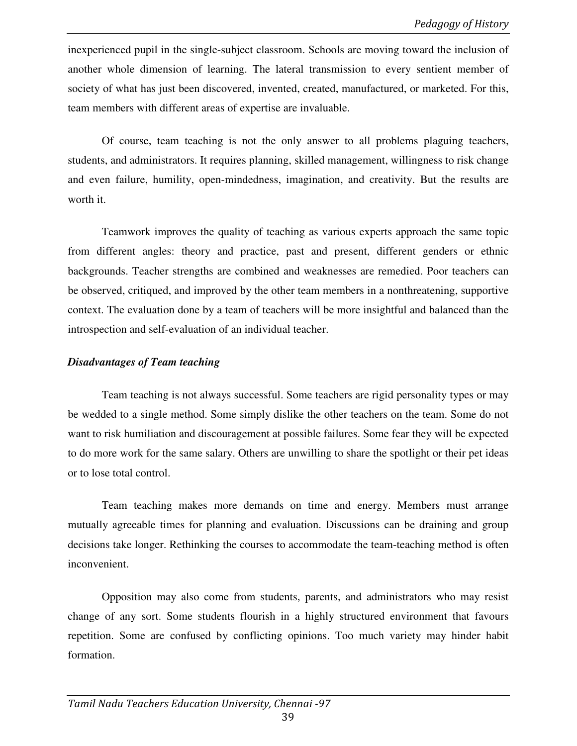inexperienced pupil in the single-subject classroom. Schools are moving toward the inclusion of another whole dimension of learning. The lateral transmission to every sentient member of society of what has just been discovered, invented, created, manufactured, or marketed. For this, team members with different areas of expertise are invaluable.

Of course, team teaching is not the only answer to all problems plaguing teachers, students, and administrators. It requires planning, skilled management, willingness to risk change and even failure, humility, open-mindedness, imagination, and creativity. But the results are worth it.

Teamwork improves the quality of teaching as various experts approach the same topic from different angles: theory and practice, past and present, different genders or ethnic backgrounds. Teacher strengths are combined and weaknesses are remedied. Poor teachers can be observed, critiqued, and improved by the other team members in a nonthreatening, supportive context. The evaluation done by a team of teachers will be more insightful and balanced than the introspection and self-evaluation of an individual teacher.

## *Disadvantages of Team teaching*

Team teaching is not always successful. Some teachers are rigid personality types or may be wedded to a single method. Some simply dislike the other teachers on the team. Some do not want to risk humiliation and discouragement at possible failures. Some fear they will be expected to do more work for the same salary. Others are unwilling to share the spotlight or their pet ideas or to lose total control.

Team teaching makes more demands on time and energy. Members must arrange mutually agreeable times for planning and evaluation. Discussions can be draining and group decisions take longer. Rethinking the courses to accommodate the team-teaching method is often inconvenient.

Opposition may also come from students, parents, and administrators who may resist change of any sort. Some students flourish in a highly structured environment that favours repetition. Some are confused by conflicting opinions. Too much variety may hinder habit formation.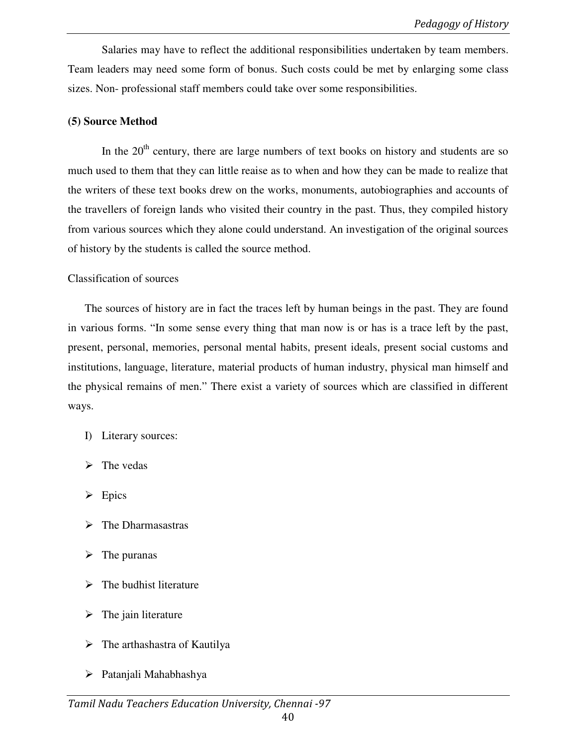Salaries may have to reflect the additional responsibilities undertaken by team members. Team leaders may need some form of bonus. Such costs could be met by enlarging some class sizes. Non- professional staff members could take over some responsibilities.

## **(5) Source Method**

In the  $20<sup>th</sup>$  century, there are large numbers of text books on history and students are so much used to them that they can little reaise as to when and how they can be made to realize that the writers of these text books drew on the works, monuments, autobiographies and accounts of the travellers of foreign lands who visited their country in the past. Thus, they compiled history from various sources which they alone could understand. An investigation of the original sources of history by the students is called the source method.

## Classification of sources

The sources of history are in fact the traces left by human beings in the past. They are found in various forms. "In some sense every thing that man now is or has is a trace left by the past, present, personal, memories, personal mental habits, present ideals, present social customs and institutions, language, literature, material products of human industry, physical man himself and the physical remains of men." There exist a variety of sources which are classified in different ways.

## I) Literary sources:

- $\triangleright$  The vedas
- $\triangleright$  Epics
- $\triangleright$  The Dharmasastras
- $\triangleright$  The puranas
- $\triangleright$  The budhist literature
- $\triangleright$  The jain literature
- $\triangleright$  The arthashastra of Kautilya
- Patanjali Mahabhashya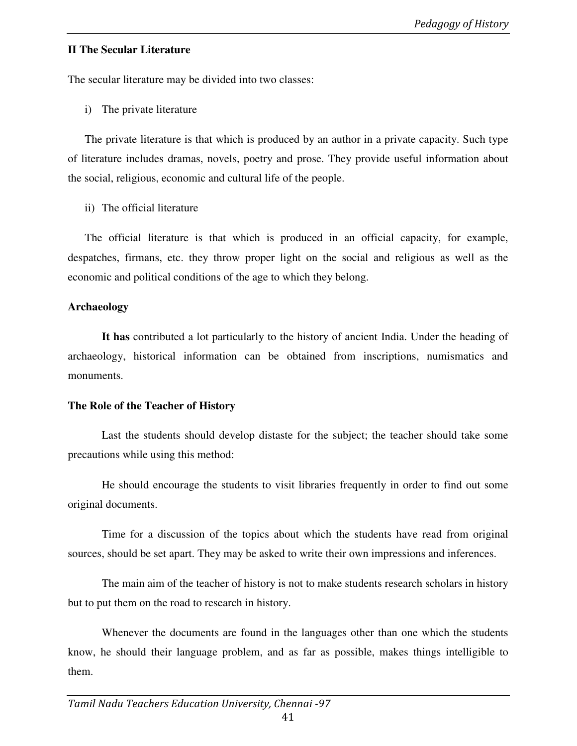#### **II The Secular Literature**

The secular literature may be divided into two classes:

i) The private literature

The private literature is that which is produced by an author in a private capacity. Such type of literature includes dramas, novels, poetry and prose. They provide useful information about the social, religious, economic and cultural life of the people.

ii) The official literature

The official literature is that which is produced in an official capacity, for example, despatches, firmans, etc. they throw proper light on the social and religious as well as the economic and political conditions of the age to which they belong.

#### **Archaeology**

**It has** contributed a lot particularly to the history of ancient India. Under the heading of archaeology, historical information can be obtained from inscriptions, numismatics and monuments.

#### **The Role of the Teacher of History**

Last the students should develop distaste for the subject; the teacher should take some precautions while using this method:

He should encourage the students to visit libraries frequently in order to find out some original documents.

Time for a discussion of the topics about which the students have read from original sources, should be set apart. They may be asked to write their own impressions and inferences.

The main aim of the teacher of history is not to make students research scholars in history but to put them on the road to research in history.

Whenever the documents are found in the languages other than one which the students know, he should their language problem, and as far as possible, makes things intelligible to them.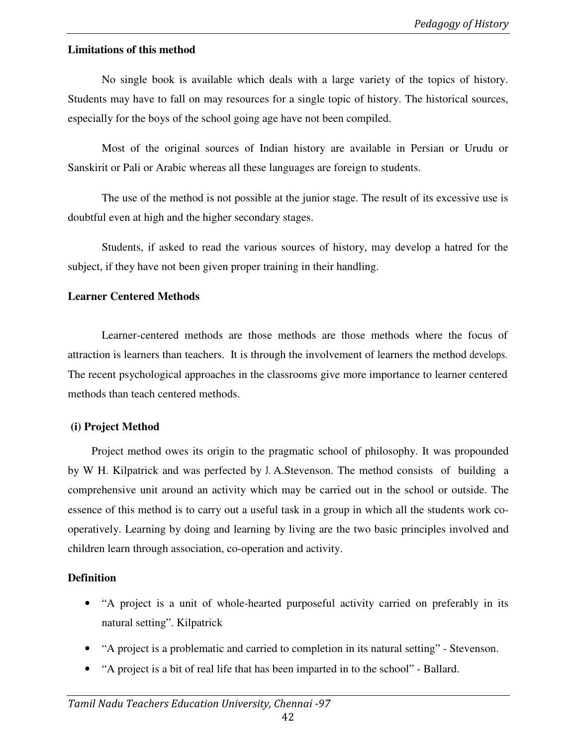#### **Limitations of this method**

No single book is available which deals with a large variety of the topics of history. Students may have to fall on may resources for a single topic of history. The historical sources, especially for the boys of the school going age have not been compiled.

Most of the original sources of Indian history are available in Persian or Urudu or Sanskirit or Pali or Arabic whereas all these languages are foreign to students.

The use of the method is not possible at the junior stage. The result of its excessive use is doubtful even at high and the higher secondary stages.

Students, if asked to read the various sources of history, may develop a hatred for the subject, if they have not been given proper training in their handling.

#### **Learner Centered Methods**

Learner-centered methods are those methods are those methods where the focus of attraction is learners than teachers. It is through the involvement of learners the method develops. The recent psychological approaches in the classrooms give more importance to learner centered methods than teach centered methods.

## **(i) Project Method**

Project method owes its origin to the pragmatic school of philosophy. It was propounded by W H. Kilpatrick and was perfected by J. A.Stevenson. The method consists of building a comprehensive unit around an activity which may be carried out in the school or outside. The essence of this method is to carry out a useful task in a group in which all the students work cooperatively. Learning by doing and learning by living are the two basic principles involved and children learn through association, co-operation and activity.

## **Definition**

- "A project is a unit of whole-hearted purposeful activity carried on preferably in its natural setting". Kilpatrick
- "A project is a problematic and carried to completion in its natural setting" Stevenson.
- "A project is a bit of real life that has been imparted in to the school" Ballard.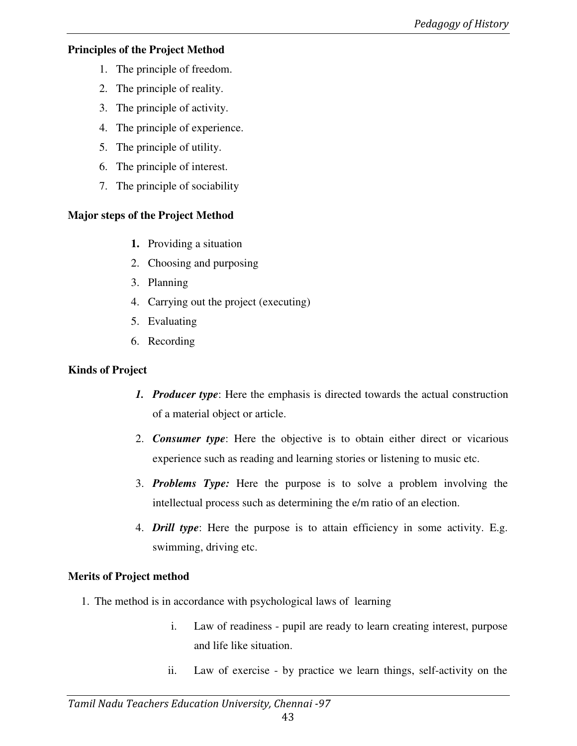## **Principles of the Project Method**

- 1. The principle of freedom.
- 2. The principle of reality.
- 3. The principle of activity.
- 4. The principle of experience.
- 5. The principle of utility.
- 6. The principle of interest.
- 7. The principle of sociability

# **Major steps of the Project Method**

- **1.** Providing a situation
- 2. Choosing and purposing
- 3. Planning
- 4. Carrying out the project (executing)
- 5. Evaluating
- 6. Recording

# **Kinds of Project**

- *1. Producer type*: Here the emphasis is directed towards the actual construction of a material object or article.
- 2. *Consumer type*: Here the objective is to obtain either direct or vicarious experience such as reading and learning stories or listening to music etc.
- 3. *Problems Type:* Here the purpose is to solve a problem involving the intellectual process such as determining the e/m ratio of an election.
- 4. *Drill type*: Here the purpose is to attain efficiency in some activity. E.g. swimming, driving etc.

# **Merits of Project method**

- 1. The method is in accordance with psychological laws of learning
	- i. Law of readiness pupil are ready to learn creating interest, purpose and life like situation.
	- ii. Law of exercise by practice we learn things, self-activity on the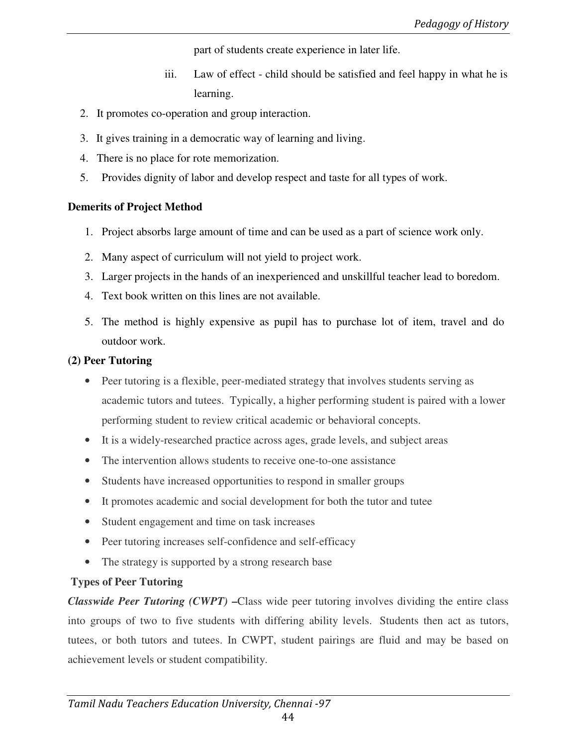part of students create experience in later life.

- iii. Law of effect child should be satisfied and feel happy in what he is learning.
- 2. It promotes co-operation and group interaction.
- 3. It gives training in a democratic way of learning and living.
- 4. There is no place for rote memorization.
- 5. Provides dignity of labor and develop respect and taste for all types of work.

## **Demerits of Project Method**

- 1. Project absorbs large amount of time and can be used as a part of science work only.
- 2. Many aspect of curriculum will not yield to project work.
- 3. Larger projects in the hands of an inexperienced and unskillful teacher lead to boredom.
- 4. Text book written on this lines are not available.
- 5. The method is highly expensive as pupil has to purchase lot of item, travel and do outdoor work.

# **(2) Peer Tutoring**

- Peer tutoring is a flexible, peer-mediated strategy that involves students serving as academic tutors and tutees. Typically, a higher performing student is paired with a lower performing student to review critical academic or behavioral concepts.
- It is a widely-researched practice across ages, grade levels, and subject areas
- The intervention allows students to receive one-to-one assistance
- Students have increased opportunities to respond in smaller groups
- It promotes academic and social development for both the tutor and tutee
- Student engagement and time on task increases
- Peer tutoring increases self-confidence and self-efficacy
- The strategy is supported by a strong research base

# **Types of Peer Tutoring**

*Classwide Peer Tutoring (CWPT)* **–**Class wide peer tutoring involves dividing the entire class into groups of two to five students with differing ability levels. Students then act as tutors, tutees, or both tutors and tutees. In CWPT, student pairings are fluid and may be based on achievement levels or student compatibility.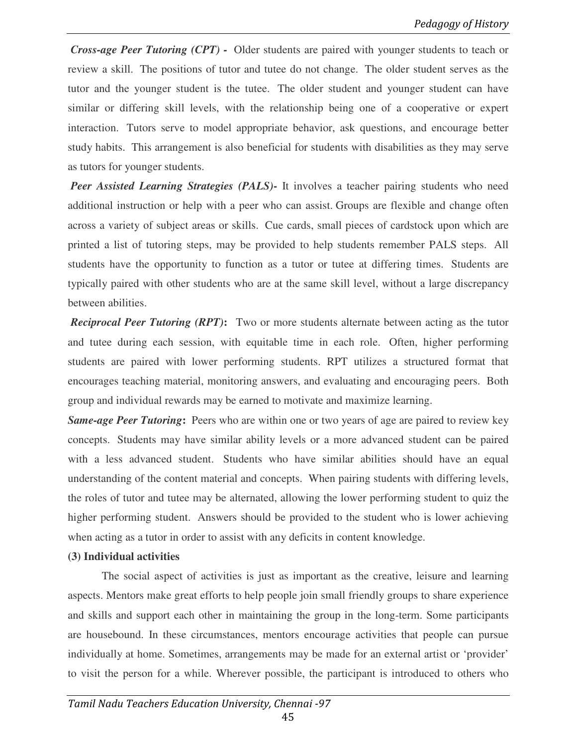*Cross-age Peer Tutoring (CPT) -*Older students are paired with younger students to teach or review a skill. The positions of tutor and tutee do not change. The older student serves as the tutor and the younger student is the tutee. The older student and younger student can have similar or differing skill levels, with the relationship being one of a cooperative or expert interaction. Tutors serve to model appropriate behavior, ask questions, and encourage better study habits. This arrangement is also beneficial for students with disabilities as they may serve as tutors for younger students.

*Peer Assisted Learning Strategies (PALS)***-** It involves a teacher pairing students who need additional instruction or help with a peer who can assist. Groups are flexible and change often across a variety of subject areas or skills. Cue cards, small pieces of cardstock upon which are printed a list of tutoring steps, may be provided to help students remember PALS steps. All students have the opportunity to function as a tutor or tutee at differing times. Students are typically paired with other students who are at the same skill level, without a large discrepancy between abilities.

*Reciprocal Peer Tutoring (RPT)***:** Two or more students alternate between acting as the tutor and tutee during each session, with equitable time in each role. Often, higher performing students are paired with lower performing students. RPT utilizes a structured format that encourages teaching material, monitoring answers, and evaluating and encouraging peers. Both group and individual rewards may be earned to motivate and maximize learning.

*Same-age Peer Tutoring***:** Peers who are within one or two years of age are paired to review key concepts. Students may have similar ability levels or a more advanced student can be paired with a less advanced student. Students who have similar abilities should have an equal understanding of the content material and concepts. When pairing students with differing levels, the roles of tutor and tutee may be alternated, allowing the lower performing student to quiz the higher performing student. Answers should be provided to the student who is lower achieving when acting as a tutor in order to assist with any deficits in content knowledge.

## **(3) Individual activities**

 The social aspect of activities is just as important as the creative, leisure and learning aspects. Mentors make great efforts to help people join small friendly groups to share experience and skills and support each other in maintaining the group in the long-term. Some participants are housebound. In these circumstances, mentors encourage activities that people can pursue individually at home. Sometimes, arrangements may be made for an external artist or 'provider' to visit the person for a while. Wherever possible, the participant is introduced to others who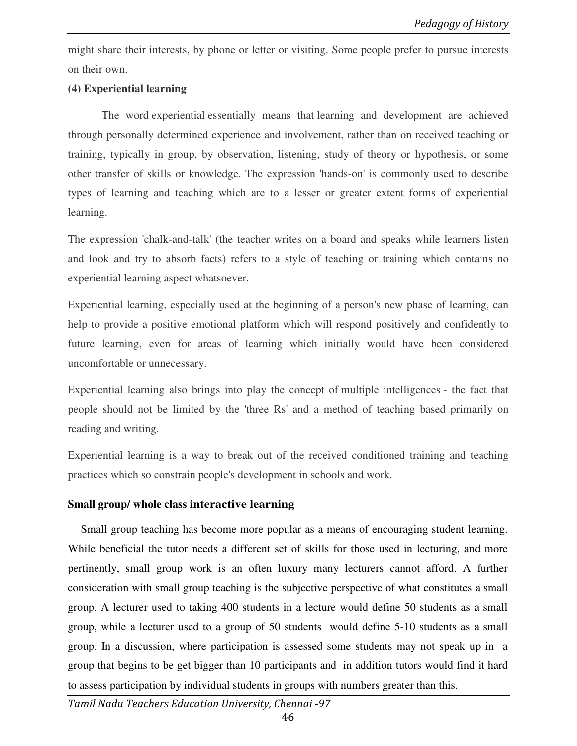might share their interests, by phone or letter or visiting. Some people prefer to pursue interests on their own.

# **(4) Experiential learning**

 The word experiential essentially means that learning and development are achieved through personally determined experience and involvement, rather than on received teaching or training, typically in group, by observation, listening, study of theory or hypothesis, or some other transfer of skills or knowledge. The expression 'hands-on' is commonly used to describe types of learning and teaching which are to a lesser or greater extent forms of experiential learning.

The expression 'chalk-and-talk' (the teacher writes on a board and speaks while learners listen and look and try to absorb facts) refers to a style of teaching or training which contains no experiential learning aspect whatsoever.

Experiential learning, especially used at the beginning of a person's new phase of learning, can help to provide a positive emotional platform which will respond positively and confidently to future learning, even for areas of learning which initially would have been considered uncomfortable or unnecessary.

Experiential learning also brings into play the concept of multiple intelligences - the fact that people should not be limited by the 'three Rs' and a method of teaching based primarily on reading and writing.

Experiential learning is a way to break out of the received conditioned training and teaching practices which so constrain people's development in schools and work.

## **Small group/ whole class interactive learning**

Small group teaching has become more popular as a means of encouraging student learning. While beneficial the tutor needs a different set of skills for those used in lecturing, and more pertinently, small group work is an often luxury many lecturers cannot afford. A further consideration with small group teaching is the subjective perspective of what constitutes a small group. A lecturer used to taking 400 students in a lecture would define 50 students as a small group, while a lecturer used to a group of 50 students would define 5-10 students as a small group. In a discussion, where participation is assessed some students may not speak up in a group that begins to be get bigger than 10 participants and in addition tutors would find it hard to assess participation by individual students in groups with numbers greater than this.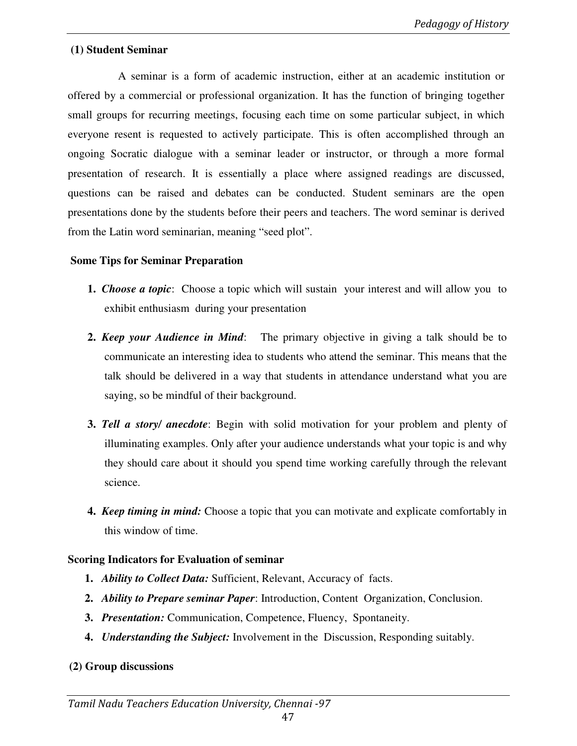# **(1) Student Seminar**

 A seminar is a form of academic instruction, either at an academic institution or offered by a commercial or professional organization. It has the function of bringing together small groups for recurring meetings, focusing each time on some particular subject, in which everyone resent is requested to actively participate. This is often accomplished through an ongoing Socratic dialogue with a seminar leader or instructor, or through a more formal presentation of research. It is essentially a place where assigned readings are discussed, questions can be raised and debates can be conducted. Student seminars are the open presentations done by the students before their peers and teachers. The word seminar is derived from the Latin word seminarian, meaning "seed plot".

## **Some Tips for Seminar Preparation**

- **1.** *Choose a topic*: Choose a topic which will sustain your interest and will allow you to exhibit enthusiasm during your presentation
- **2.** *Keep your Audience in Mind*: The primary objective in giving a talk should be to communicate an interesting idea to students who attend the seminar. This means that the talk should be delivered in a way that students in attendance understand what you are saying, so be mindful of their background.
- **3.** *Tell a story/ anecdote*: Begin with solid motivation for your problem and plenty of illuminating examples. Only after your audience understands what your topic is and why they should care about it should you spend time working carefully through the relevant science.
- **4.** *Keep timing in mind:* Choose a topic that you can motivate and explicate comfortably in this window of time.

# **Scoring Indicators for Evaluation of seminar**

- **1.** *Ability to Collect Data:* Sufficient, Relevant, Accuracy of facts.
- **2.** *Ability to Prepare seminar Paper*: Introduction, Content Organization, Conclusion.
- **3.** *Presentation:* Communication, Competence, Fluency, Spontaneity.
- **4.** *Understanding the Subject:* Involvement in the Discussion, Responding suitably.

# **(2) Group discussions**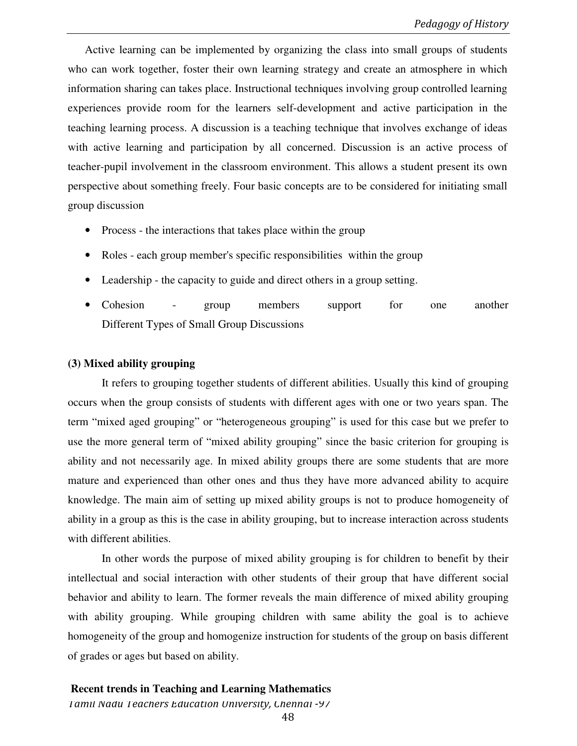Active learning can be implemented by organizing the class into small groups of students who can work together, foster their own learning strategy and create an atmosphere in which information sharing can takes place. Instructional techniques involving group controlled learning experiences provide room for the learners self-development and active participation in the teaching learning process. A discussion is a teaching technique that involves exchange of ideas with active learning and participation by all concerned. Discussion is an active process of teacher-pupil involvement in the classroom environment. This allows a student present its own perspective about something freely. Four basic concepts are to be considered for initiating small group discussion

- Process the interactions that takes place within the group
- Roles each group member's specific responsibilities within the group
- Leadership the capacity to guide and direct others in a group setting.
- Cohesion group members support for one another Different Types of Small Group Discussions

#### **(3) Mixed ability grouping**

It refers to grouping together students of different abilities. Usually this kind of grouping occurs when the group consists of students with different ages with one or two years span. The term "mixed aged grouping" or "heterogeneous grouping" is used for this case but we prefer to use the more general term of "mixed ability grouping" since the basic criterion for grouping is ability and not necessarily age. In mixed ability groups there are some students that are more mature and experienced than other ones and thus they have more advanced ability to acquire knowledge. The main aim of setting up mixed ability groups is not to produce homogeneity of ability in a group as this is the case in ability grouping, but to increase interaction across students with different abilities.

 In other words the purpose of mixed ability grouping is for children to benefit by their intellectual and social interaction with other students of their group that have different social behavior and ability to learn. The former reveals the main difference of mixed ability grouping with ability grouping. While grouping children with same ability the goal is to achieve homogeneity of the group and homogenize instruction for students of the group on basis different of grades or ages but based on ability.

#### **Recent trends in Teaching and Learning Mathematics**

*Tamil Nadu Teachers Education University, Chennai -97*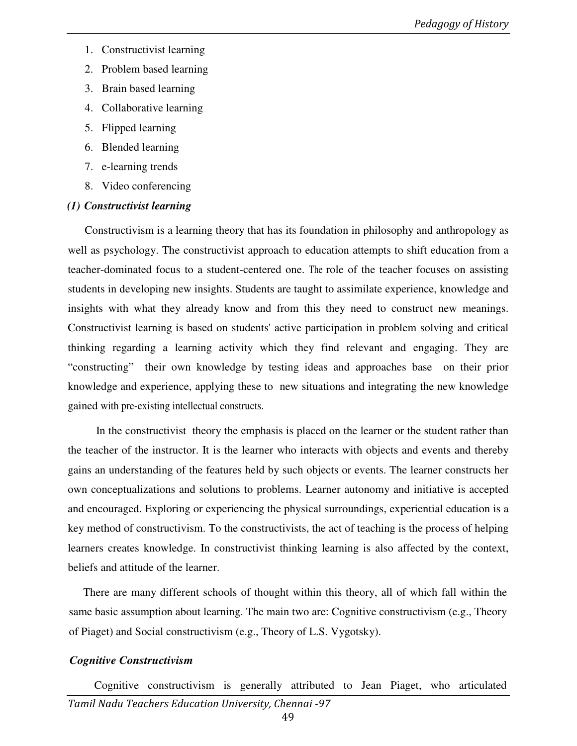- 1. Constructivist learning
- 2. Problem based learning
- 3. Brain based learning
- 4. Collaborative learning
- 5. Flipped learning
- 6. Blended learning
- 7. e-learning trends
- 8. Video conferencing

#### *(1) Constructivist learning*

Constructivism is a learning theory that has its foundation in philosophy and anthropology as well as psychology. The constructivist approach to education attempts to shift education from a teacher-dominated focus to a student-centered one. The role of the teacher focuses on assisting students in developing new insights. Students are taught to assimilate experience, knowledge and insights with what they already know and from this they need to construct new meanings. Constructivist learning is based on students' active participation in problem solving and critical thinking regarding a learning activity which they find relevant and engaging. They are "constructing" their own knowledge by testing ideas and approaches base on their prior knowledge and experience, applying these to new situations and integrating the new knowledge gained with pre-existing intellectual constructs.

 In the constructivist theory the emphasis is placed on the learner or the student rather than the teacher of the instructor. It is the learner who interacts with objects and events and thereby gains an understanding of the features held by such objects or events. The learner constructs her own conceptualizations and solutions to problems. Learner autonomy and initiative is accepted and encouraged. Exploring or experiencing the physical surroundings, experiential education is a key method of constructivism. To the constructivists, the act of teaching is the process of helping learners creates knowledge. In constructivist thinking learning is also affected by the context, beliefs and attitude of the learner.

There are many different schools of thought within this theory, all of which fall within the same basic assumption about learning. The main two are: Cognitive constructivism (e.g., Theory of Piaget) and Social constructivism (e.g., Theory of L.S. Vygotsky).

## *Cognitive Constructivism*

*Tamil Nadu Teachers Education University, Chennai -97* Cognitive constructivism is generally attributed to Jean Piaget, who articulated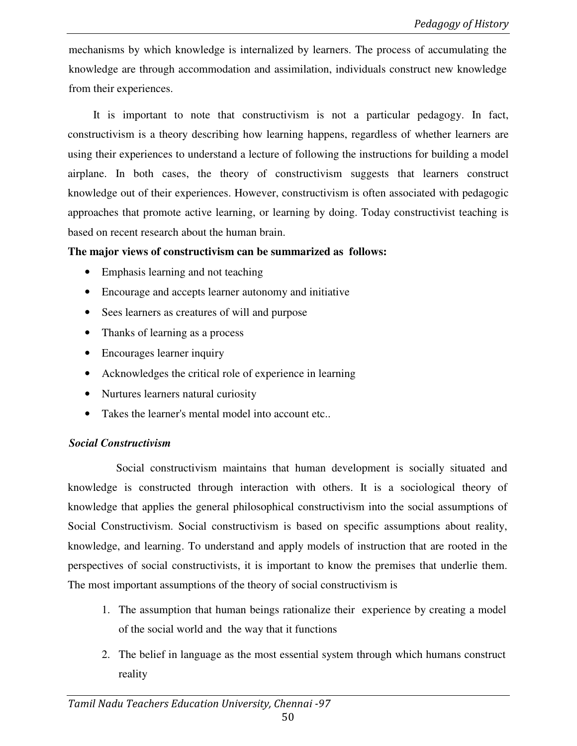mechanisms by which knowledge is internalized by learners. The process of accumulating the knowledge are through accommodation and assimilation, individuals construct new knowledge from their experiences.

 It is important to note that constructivism is not a particular pedagogy. In fact, constructivism is a theory describing how learning happens, regardless of whether learners are using their experiences to understand a lecture of following the instructions for building a model airplane. In both cases, the theory of constructivism suggests that learners construct knowledge out of their experiences. However, constructivism is often associated with pedagogic approaches that promote active learning, or learning by doing. Today constructivist teaching is based on recent research about the human brain.

# **The major views of constructivism can be summarized as follows:**

- Emphasis learning and not teaching
- Encourage and accepts learner autonomy and initiative
- Sees learners as creatures of will and purpose
- Thanks of learning as a process
- Encourages learner inquiry
- Acknowledges the critical role of experience in learning
- Nurtures learners natural curiosity
- Takes the learner's mental model into account etc..

# *Social Constructivism*

 Social constructivism maintains that human development is socially situated and knowledge is constructed through interaction with others. It is a sociological theory of knowledge that applies the general philosophical constructivism into the social assumptions of Social Constructivism. Social constructivism is based on specific assumptions about reality, knowledge, and learning. To understand and apply models of instruction that are rooted in the perspectives of social constructivists, it is important to know the premises that underlie them. The most important assumptions of the theory of social constructivism is

- 1. The assumption that human beings rationalize their experience by creating a model of the social world and the way that it functions
- 2. The belief in language as the most essential system through which humans construct reality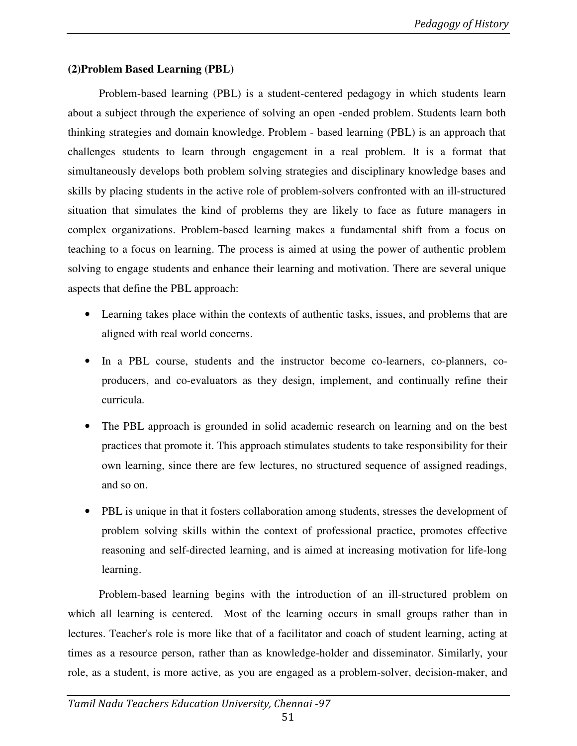## **(2)Problem Based Learning (PBL)**

 Problem-based learning (PBL) is a student-centered pedagogy in which students learn about a subject through the experience of solving an open -ended problem. Students learn both thinking strategies and domain knowledge. Problem - based learning (PBL) is an approach that challenges students to learn through engagement in a real problem. It is a format that simultaneously develops both problem solving strategies and disciplinary knowledge bases and skills by placing students in the active role of problem-solvers confronted with an ill-structured situation that simulates the kind of problems they are likely to face as future managers in complex organizations. Problem-based learning makes a fundamental shift from a focus on teaching to a focus on learning. The process is aimed at using the power of authentic problem solving to engage students and enhance their learning and motivation. There are several unique aspects that define the PBL approach:

- Learning takes place within the contexts of authentic tasks, issues, and problems that are aligned with real world concerns.
- In a PBL course, students and the instructor become co-learners, co-planners, coproducers, and co-evaluators as they design, implement, and continually refine their curricula.
- The PBL approach is grounded in solid academic research on learning and on the best practices that promote it. This approach stimulates students to take responsibility for their own learning, since there are few lectures, no structured sequence of assigned readings, and so on.
- PBL is unique in that it fosters collaboration among students, stresses the development of problem solving skills within the context of professional practice, promotes effective reasoning and self-directed learning, and is aimed at increasing motivation for life-long learning.

 Problem-based learning begins with the introduction of an ill-structured problem on which all learning is centered. Most of the learning occurs in small groups rather than in lectures. Teacher's role is more like that of a facilitator and coach of student learning, acting at times as a resource person, rather than as knowledge-holder and disseminator. Similarly, your role, as a student, is more active, as you are engaged as a problem-solver, decision-maker, and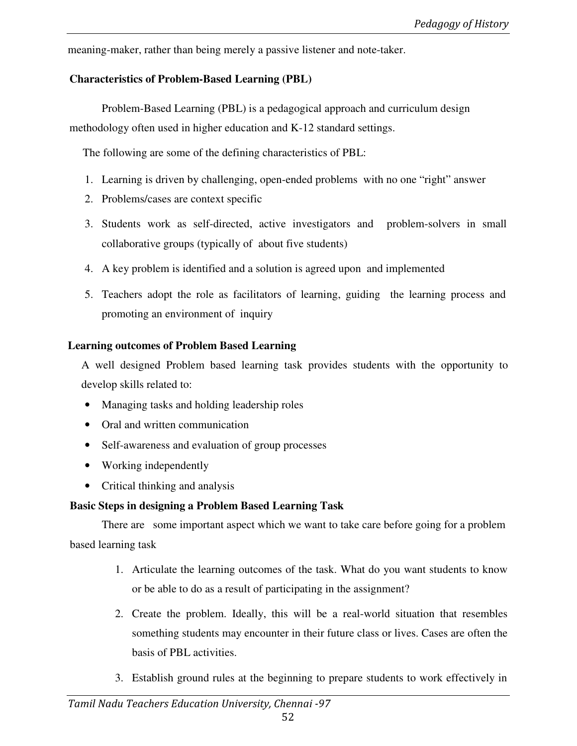meaning-maker, rather than being merely a passive listener and note-taker.

# **Characteristics of Problem-Based Learning (PBL)**

 Problem-Based Learning (PBL) is a pedagogical approach and curriculum design methodology often used in higher education and K-12 standard settings.

The following are some of the defining characteristics of PBL:

- 1. Learning is driven by challenging, open-ended problems with no one "right" answer
- 2. Problems/cases are context specific
- 3. Students work as self-directed, active investigators and problem-solvers in small collaborative groups (typically of about five students)
- 4. A key problem is identified and a solution is agreed upon and implemented
- 5. Teachers adopt the role as facilitators of learning, guiding the learning process and promoting an environment of inquiry

## **Learning outcomes of Problem Based Learning**

A well designed Problem based learning task provides students with the opportunity to develop skills related to:

- Managing tasks and holding leadership roles
- Oral and written communication
- Self-awareness and evaluation of group processes
- Working independently
- Critical thinking and analysis

## **Basic Steps in designing a Problem Based Learning Task**

 There are some important aspect which we want to take care before going for a problem based learning task

- 1. Articulate the learning outcomes of the task. What do you want students to know or be able to do as a result of participating in the assignment?
- 2. Create the problem. Ideally, this will be a real-world situation that resembles something students may encounter in their future class or lives. Cases are often the basis of PBL activities.
- 3. Establish ground rules at the beginning to prepare students to work effectively in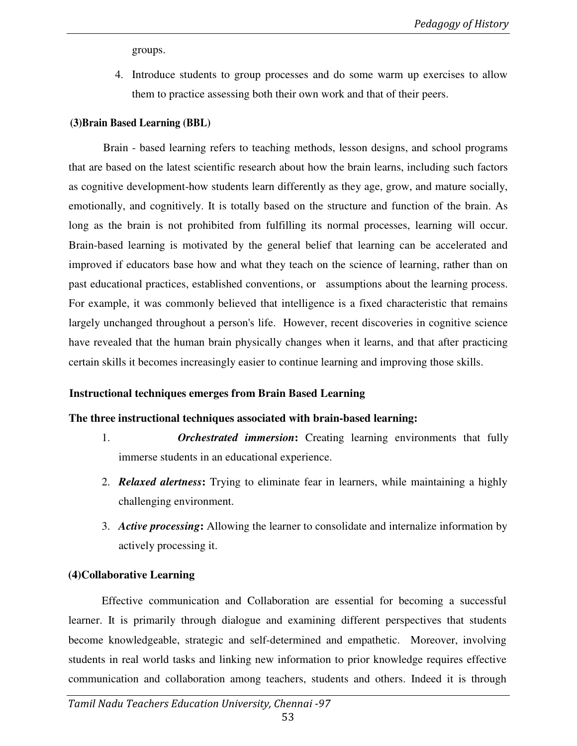groups.

4. Introduce students to group processes and do some warm up exercises to allow them to practice assessing both their own work and that of their peers.

#### **(3)Brain Based Learning (BBL)**

 Brain - based learning refers to teaching methods, lesson designs, and school programs that are based on the latest scientific research about how the brain learns, including such factors as cognitive development-how students learn differently as they age, grow, and mature socially, emotionally, and cognitively. It is totally based on the structure and function of the brain. As long as the brain is not prohibited from fulfilling its normal processes, learning will occur. Brain-based learning is motivated by the general belief that learning can be accelerated and improved if educators base how and what they teach on the science of learning, rather than on past educational practices, established conventions, or assumptions about the learning process. For example, it was commonly believed that intelligence is a fixed characteristic that remains largely unchanged throughout a person's life. However, recent discoveries in cognitive science have revealed that the human brain physically changes when it learns, and that after practicing certain skills it becomes increasingly easier to continue learning and improving those skills.

#### **Instructional techniques emerges from Brain Based Learning**

#### **The three instructional techniques associated with brain-based learning:**

- 1. *Orchestrated immersion***:** Creating learning environments that fully immerse students in an educational experience.
- 2. *Relaxed alertness***:** Trying to eliminate fear in learners, while maintaining a highly challenging environment.
- 3. *Active processing***:** Allowing the learner to consolidate and internalize information by actively processing it.

## **(4)Collaborative Learning**

 Effective communication and Collaboration are essential for becoming a successful learner. It is primarily through dialogue and examining different perspectives that students become knowledgeable, strategic and self-determined and empathetic. Moreover, involving students in real world tasks and linking new information to prior knowledge requires effective communication and collaboration among teachers, students and others. Indeed it is through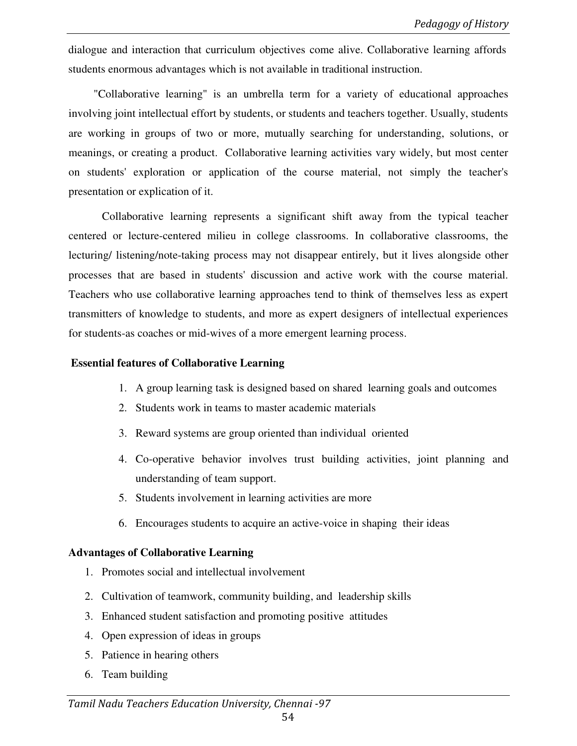dialogue and interaction that curriculum objectives come alive. Collaborative learning affords students enormous advantages which is not available in traditional instruction.

 "Collaborative learning" is an umbrella term for a variety of educational approaches involving joint intellectual effort by students, or students and teachers together. Usually, students are working in groups of two or more, mutually searching for understanding, solutions, or meanings, or creating a product. Collaborative learning activities vary widely, but most center on students' exploration or application of the course material, not simply the teacher's presentation or explication of it.

 Collaborative learning represents a significant shift away from the typical teacher centered or lecture-centered milieu in college classrooms. In collaborative classrooms, the lecturing/ listening/note-taking process may not disappear entirely, but it lives alongside other processes that are based in students' discussion and active work with the course material. Teachers who use collaborative learning approaches tend to think of themselves less as expert transmitters of knowledge to students, and more as expert designers of intellectual experiences for students-as coaches or mid-wives of a more emergent learning process.

## **Essential features of Collaborative Learning**

- 1. A group learning task is designed based on shared learning goals and outcomes
- 2. Students work in teams to master academic materials
- 3. Reward systems are group oriented than individual oriented
- 4. Co-operative behavior involves trust building activities, joint planning and understanding of team support.
- 5. Students involvement in learning activities are more
- 6. Encourages students to acquire an active-voice in shaping their ideas

## **Advantages of Collaborative Learning**

- 1. Promotes social and intellectual involvement
- 2. Cultivation of teamwork, community building, and leadership skills
- 3. Enhanced student satisfaction and promoting positive attitudes
- 4. Open expression of ideas in groups
- 5. Patience in hearing others
- 6. Team building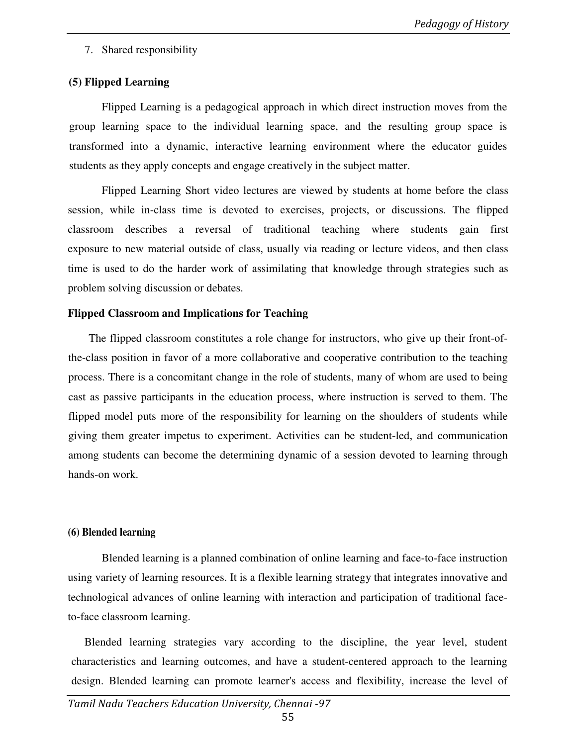7. Shared responsibility

#### **(5) Flipped Learning**

 Flipped Learning is a pedagogical approach in which direct instruction moves from the group learning space to the individual learning space, and the resulting group space is transformed into a dynamic, interactive learning environment where the educator guides students as they apply concepts and engage creatively in the subject matter.

 Flipped Learning Short video lectures are viewed by students at home before the class session, while in-class time is devoted to exercises, projects, or discussions. The flipped classroom describes a reversal of traditional teaching where students gain first exposure to new material outside of class, usually via reading or lecture videos, and then class time is used to do the harder work of assimilating that knowledge through strategies such as problem solving discussion or debates.

#### **Flipped Classroom and Implications for Teaching**

 The flipped classroom constitutes a role change for instructors, who give up their front-ofthe-class position in favor of a more collaborative and cooperative contribution to the teaching process. There is a concomitant change in the role of students, many of whom are used to being cast as passive participants in the education process, where instruction is served to them. The flipped model puts more of the responsibility for learning on the shoulders of students while giving them greater impetus to experiment. Activities can be student-led, and communication among students can become the determining dynamic of a session devoted to learning through hands-on work.

#### **(6) Blended learning**

 Blended learning is a planned combination of online learning and face-to-face instruction using variety of learning resources. It is a flexible learning strategy that integrates innovative and technological advances of online learning with interaction and participation of traditional faceto-face classroom learning.

Blended learning strategies vary according to the discipline, the year level, student characteristics and learning outcomes, and have a student-centered approach to the learning design. Blended learning can promote learner's access and flexibility, increase the level of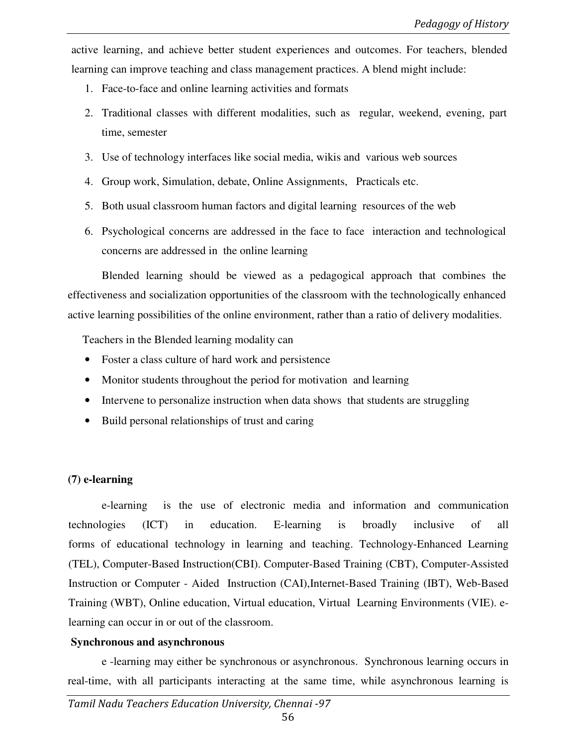active learning, and achieve better student experiences and outcomes. For teachers, blended learning can improve teaching and class management practices. A blend might include:

- 1. Face-to-face and online learning activities and formats
- 2. Traditional classes with different modalities, such as regular, weekend, evening, part time, semester
- 3. Use of technology interfaces like social media, wikis and various web sources
- 4. Group work, Simulation, debate, Online Assignments, Practicals etc.
- 5. Both usual classroom human factors and digital learning resources of the web
- 6. Psychological concerns are addressed in the face to face interaction and technological concerns are addressed in the online learning

 Blended learning should be viewed as a pedagogical approach that combines the effectiveness and socialization opportunities of the classroom with the technologically enhanced active learning possibilities of the online environment, rather than a ratio of delivery modalities.

Teachers in the Blended learning modality can

- Foster a class culture of hard work and persistence
- Monitor students throughout the period for motivation and learning
- Intervene to personalize instruction when data shows that students are struggling
- Build personal relationships of trust and caring

## **(7) e-learning**

 e-learning is the use of electronic media and information and communication technologies (ICT) in education. E-learning is broadly inclusive of all forms of educational technology in learning and teaching. Technology-Enhanced Learning (TEL), Computer-Based Instruction(CBI). Computer-Based Training (CBT), Computer-Assisted Instruction or Computer - Aided Instruction (CAI),Internet-Based Training (IBT), Web-Based Training (WBT), Online education, Virtual education, Virtual Learning Environments (VIE). elearning can occur in or out of the classroom.

#### **Synchronous and asynchronous**

 e -learning may either be synchronous or asynchronous. Synchronous learning occurs in real-time, with all participants interacting at the same time, while asynchronous learning is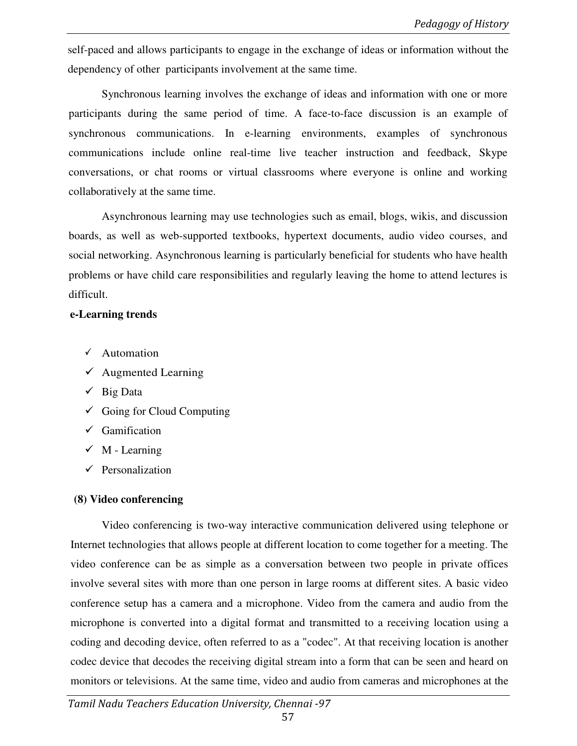self-paced and allows participants to engage in the exchange of ideas or information without the dependency of other participants involvement at the same time.

 Synchronous learning involves the exchange of ideas and information with one or more participants during the same period of time. A face-to-face discussion is an example of synchronous communications. In e-learning environments, examples of synchronous communications include online real-time live teacher instruction and feedback, Skype conversations, or chat rooms or virtual classrooms where everyone is online and working collaboratively at the same time.

 Asynchronous learning may use technologies such as email, blogs, wikis, and discussion boards, as well as web-supported textbooks, hypertext documents, audio video courses, and social networking. Asynchronous learning is particularly beneficial for students who have health problems or have child care responsibilities and regularly leaving the home to attend lectures is difficult.

#### **e-Learning trends**

- Automation
- Augmented Learning
- Big Data
- Going for Cloud Computing
- Gamification
- $\checkmark$  M Learning
- Personalization

## **(8) Video conferencing**

 Video conferencing is two-way interactive communication delivered using telephone or Internet technologies that allows people at different location to come together for a meeting. The video conference can be as simple as a conversation between two people in private offices involve several sites with more than one person in large rooms at different sites. A basic video conference setup has a camera and a microphone. Video from the camera and audio from the microphone is converted into a digital format and transmitted to a receiving location using a coding and decoding device, often referred to as a "codec". At that receiving location is another codec device that decodes the receiving digital stream into a form that can be seen and heard on monitors or televisions. At the same time, video and audio from cameras and microphones at the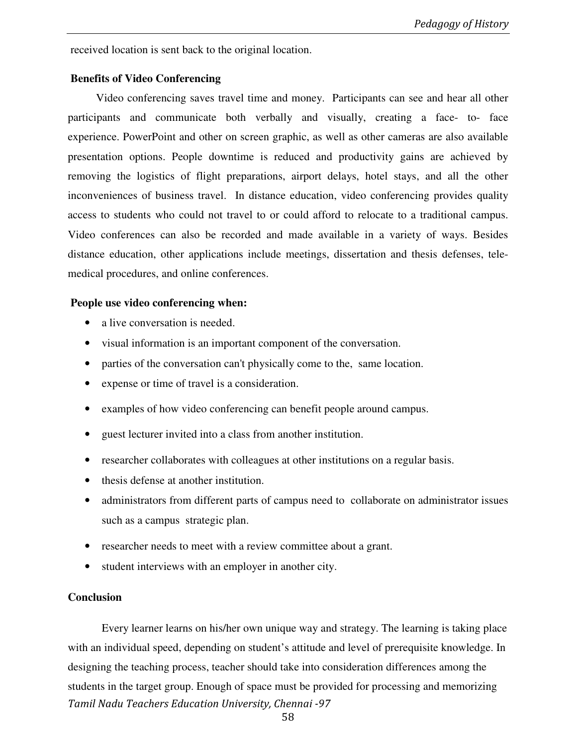received location is sent back to the original location.

#### **Benefits of Video Conferencing**

 Video conferencing saves travel time and money. Participants can see and hear all other participants and communicate both verbally and visually, creating a face- to- face experience. PowerPoint and other on screen graphic, as well as other cameras are also available presentation options. People downtime is reduced and productivity gains are achieved by removing the logistics of flight preparations, airport delays, hotel stays, and all the other inconveniences of business travel. In distance education, video conferencing provides quality access to students who could not travel to or could afford to relocate to a traditional campus. Video conferences can also be recorded and made available in a variety of ways. Besides distance education, other applications include meetings, dissertation and thesis defenses, telemedical procedures, and online conferences.

#### **People use video conferencing when:**

- a live conversation is needed.
- visual information is an important component of the conversation.
- parties of the conversation can't physically come to the, same location.
- expense or time of travel is a consideration.
- examples of how video conferencing can benefit people around campus.
- guest lecturer invited into a class from another institution.
- researcher collaborates with colleagues at other institutions on a regular basis.
- thesis defense at another institution.
- administrators from different parts of campus need to collaborate on administrator issues such as a campus strategic plan.
- researcher needs to meet with a review committee about a grant.
- student interviews with an employer in another city.

#### **Conclusion**

*Tamil Nadu Teachers Education University, Chennai -97* Every learner learns on his/her own unique way and strategy. The learning is taking place with an individual speed, depending on student's attitude and level of prerequisite knowledge. In designing the teaching process, teacher should take into consideration differences among the students in the target group. Enough of space must be provided for processing and memorizing

58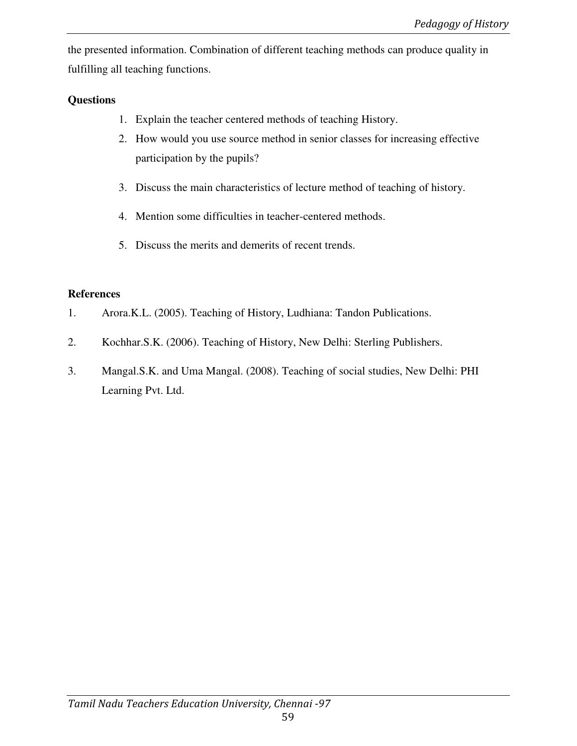the presented information. Combination of different teaching methods can produce quality in fulfilling all teaching functions.

# **Questions**

- 1. Explain the teacher centered methods of teaching History.
- 2. How would you use source method in senior classes for increasing effective participation by the pupils?
- 3. Discuss the main characteristics of lecture method of teaching of history.
- 4. Mention some difficulties in teacher-centered methods.
- 5. Discuss the merits and demerits of recent trends.

# **References**

- 1. Arora.K.L. (2005). Teaching of History, Ludhiana: Tandon Publications.
- 2. Kochhar.S.K. (2006). Teaching of History, New Delhi: Sterling Publishers.
- 3. Mangal.S.K. and Uma Mangal. (2008). Teaching of social studies, New Delhi: PHI Learning Pvt. Ltd.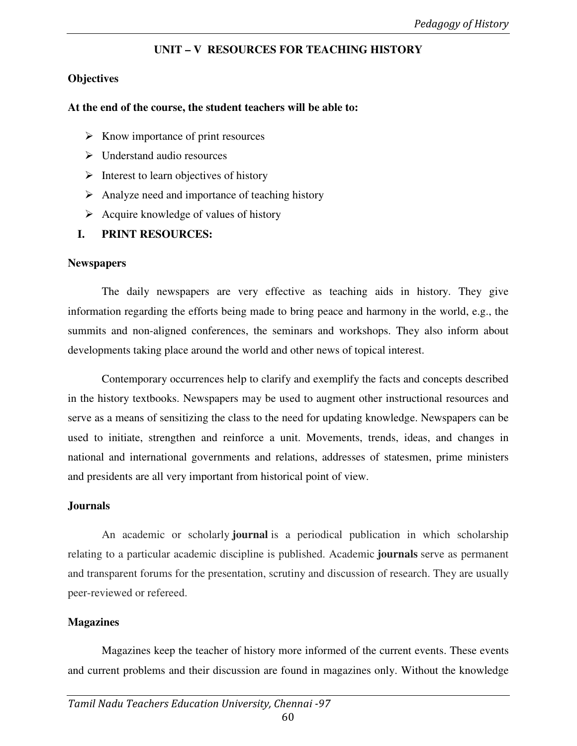# **UNIT – V RESOURCES FOR TEACHING HISTORY**

# **Objectives**

## **At the end of the course, the student teachers will be able to:**

- $\triangleright$  Know importance of print resources
- $\triangleright$  Understand audio resources
- $\triangleright$  Interest to learn objectives of history
- $\triangleright$  Analyze need and importance of teaching history
- $\triangleright$  Acquire knowledge of values of history

# **I. PRINT RESOURCES:**

#### **Newspapers**

The daily newspapers are very effective as teaching aids in history. They give information regarding the efforts being made to bring peace and harmony in the world, e.g., the summits and non-aligned conferences, the seminars and workshops. They also inform about developments taking place around the world and other news of topical interest.

Contemporary occurrences help to clarify and exemplify the facts and concepts described in the history textbooks. Newspapers may be used to augment other instructional resources and serve as a means of sensitizing the class to the need for updating knowledge. Newspapers can be used to initiate, strengthen and reinforce a unit. Movements, trends, ideas, and changes in national and international governments and relations, addresses of statesmen, prime ministers and presidents are all very important from historical point of view.

## **Journals**

An academic or scholarly **journal** is a periodical publication in which scholarship relating to a particular academic discipline is published. Academic **journals** serve as permanent and transparent forums for the presentation, scrutiny and discussion of research. They are usually peer-reviewed or refereed.

## **Magazines**

Magazines keep the teacher of history more informed of the current events. These events and current problems and their discussion are found in magazines only. Without the knowledge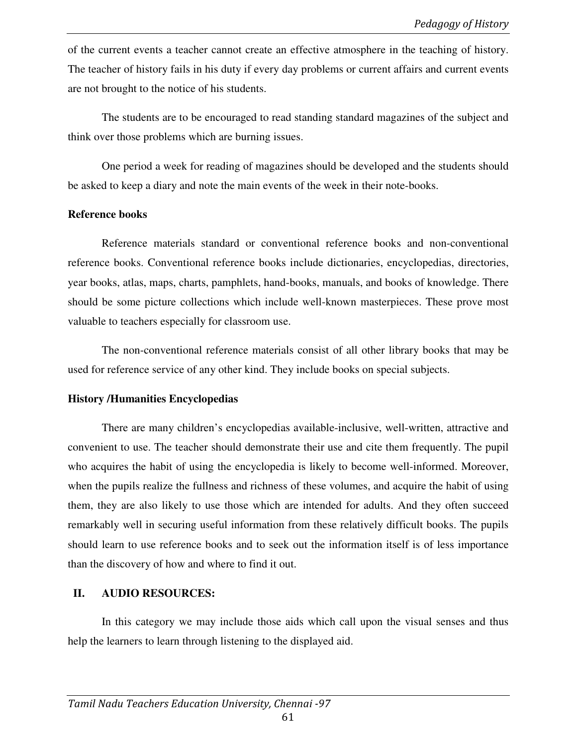of the current events a teacher cannot create an effective atmosphere in the teaching of history. The teacher of history fails in his duty if every day problems or current affairs and current events are not brought to the notice of his students.

The students are to be encouraged to read standing standard magazines of the subject and think over those problems which are burning issues.

One period a week for reading of magazines should be developed and the students should be asked to keep a diary and note the main events of the week in their note-books.

## **Reference books**

Reference materials standard or conventional reference books and non-conventional reference books. Conventional reference books include dictionaries, encyclopedias, directories, year books, atlas, maps, charts, pamphlets, hand-books, manuals, and books of knowledge. There should be some picture collections which include well-known masterpieces. These prove most valuable to teachers especially for classroom use.

The non-conventional reference materials consist of all other library books that may be used for reference service of any other kind. They include books on special subjects.

# **History /Humanities Encyclopedias**

There are many children's encyclopedias available-inclusive, well-written, attractive and convenient to use. The teacher should demonstrate their use and cite them frequently. The pupil who acquires the habit of using the encyclopedia is likely to become well-informed. Moreover, when the pupils realize the fullness and richness of these volumes, and acquire the habit of using them, they are also likely to use those which are intended for adults. And they often succeed remarkably well in securing useful information from these relatively difficult books. The pupils should learn to use reference books and to seek out the information itself is of less importance than the discovery of how and where to find it out.

# **II. AUDIO RESOURCES:**

In this category we may include those aids which call upon the visual senses and thus help the learners to learn through listening to the displayed aid.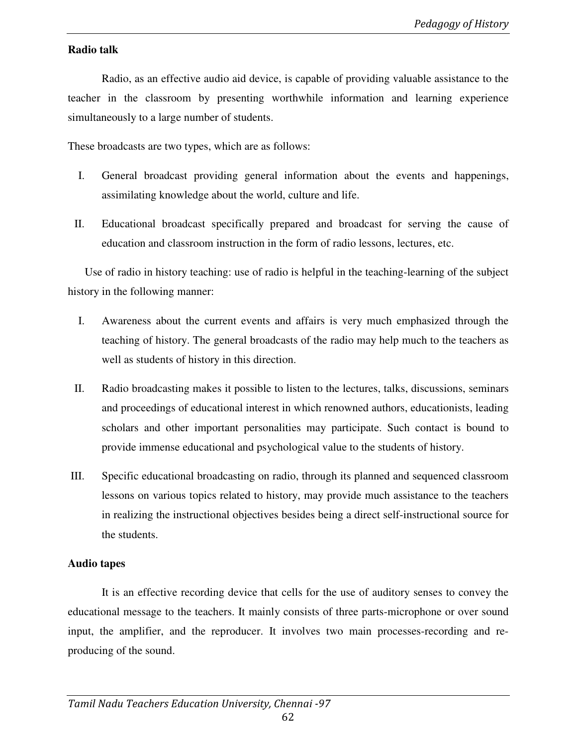# **Radio talk**

Radio, as an effective audio aid device, is capable of providing valuable assistance to the teacher in the classroom by presenting worthwhile information and learning experience simultaneously to a large number of students.

These broadcasts are two types, which are as follows:

- I. General broadcast providing general information about the events and happenings, assimilating knowledge about the world, culture and life.
- II. Educational broadcast specifically prepared and broadcast for serving the cause of education and classroom instruction in the form of radio lessons, lectures, etc.

Use of radio in history teaching: use of radio is helpful in the teaching-learning of the subject history in the following manner:

- I. Awareness about the current events and affairs is very much emphasized through the teaching of history. The general broadcasts of the radio may help much to the teachers as well as students of history in this direction.
- II. Radio broadcasting makes it possible to listen to the lectures, talks, discussions, seminars and proceedings of educational interest in which renowned authors, educationists, leading scholars and other important personalities may participate. Such contact is bound to provide immense educational and psychological value to the students of history.
- III. Specific educational broadcasting on radio, through its planned and sequenced classroom lessons on various topics related to history, may provide much assistance to the teachers in realizing the instructional objectives besides being a direct self-instructional source for the students.

# **Audio tapes**

It is an effective recording device that cells for the use of auditory senses to convey the educational message to the teachers. It mainly consists of three parts-microphone or over sound input, the amplifier, and the reproducer. It involves two main processes-recording and reproducing of the sound.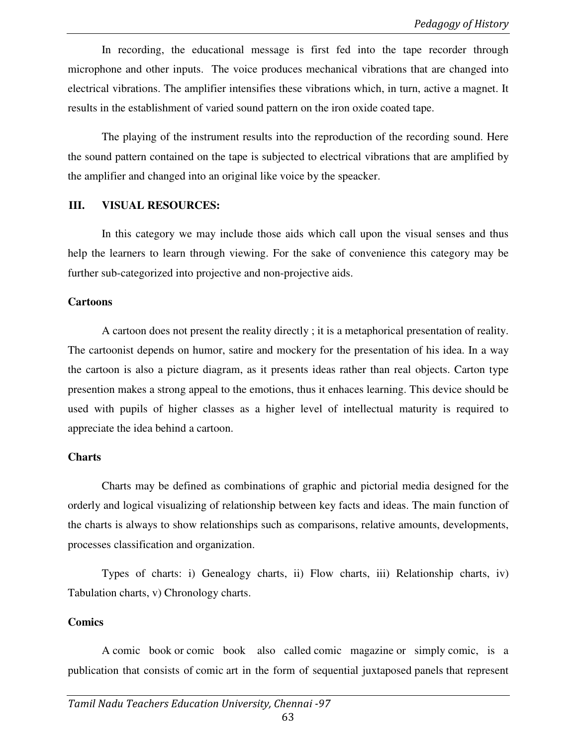In recording, the educational message is first fed into the tape recorder through microphone and other inputs. The voice produces mechanical vibrations that are changed into electrical vibrations. The amplifier intensifies these vibrations which, in turn, active a magnet. It results in the establishment of varied sound pattern on the iron oxide coated tape.

The playing of the instrument results into the reproduction of the recording sound. Here the sound pattern contained on the tape is subjected to electrical vibrations that are amplified by the amplifier and changed into an original like voice by the speacker.

#### **III. VISUAL RESOURCES:**

In this category we may include those aids which call upon the visual senses and thus help the learners to learn through viewing. For the sake of convenience this category may be further sub-categorized into projective and non-projective aids.

#### **Cartoons**

A cartoon does not present the reality directly ; it is a metaphorical presentation of reality. The cartoonist depends on humor, satire and mockery for the presentation of his idea. In a way the cartoon is also a picture diagram, as it presents ideas rather than real objects. Carton type presention makes a strong appeal to the emotions, thus it enhaces learning. This device should be used with pupils of higher classes as a higher level of intellectual maturity is required to appreciate the idea behind a cartoon.

#### **Charts**

Charts may be defined as combinations of graphic and pictorial media designed for the orderly and logical visualizing of relationship between key facts and ideas. The main function of the charts is always to show relationships such as comparisons, relative amounts, developments, processes classification and organization.

Types of charts: i) Genealogy charts, ii) Flow charts, iii) Relationship charts, iv) Tabulation charts, v) Chronology charts.

#### **Comics**

A comic book or comic book also called comic magazine or simply comic, is a publication that consists of comic art in the form of sequential juxtaposed panels that represent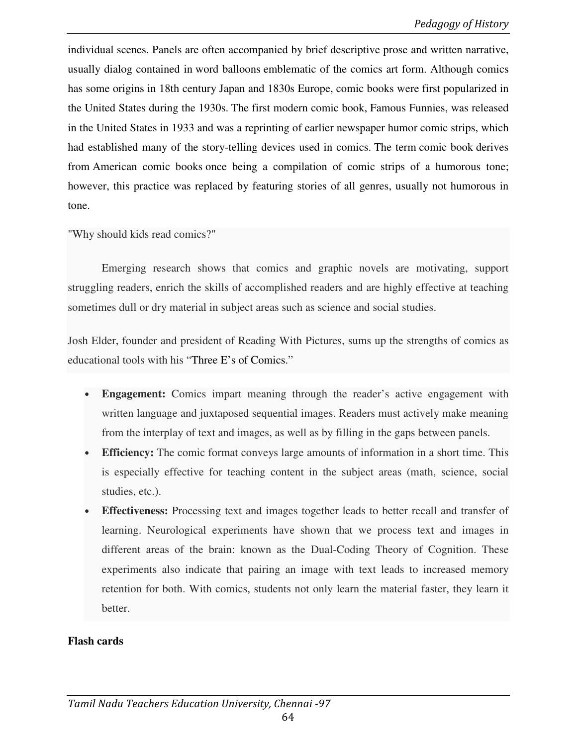individual scenes. Panels are often accompanied by brief descriptive prose and written narrative, usually dialog contained in word balloons emblematic of the comics art form. Although comics has some origins in 18th century Japan and 1830s Europe, comic books were first popularized in the United States during the 1930s. The first modern comic book, Famous Funnies, was released in the United States in 1933 and was a reprinting of earlier newspaper humor comic strips, which had established many of the story-telling devices used in comics. The term comic book derives from American comic books once being a compilation of comic strips of a humorous tone; however, this practice was replaced by featuring stories of all genres, usually not humorous in tone.

"Why should kids read comics?"

Emerging research shows that comics and graphic novels are motivating, support struggling readers, enrich the skills of accomplished readers and are highly effective at teaching sometimes dull or dry material in subject areas such as science and social studies.

Josh Elder, founder and president of Reading With Pictures, sums up the strengths of comics as educational tools with his "Three E's of Comics."

- **Engagement:** Comics impart meaning through the reader's active engagement with written language and juxtaposed sequential images. Readers must actively make meaning from the interplay of text and images, as well as by filling in the gaps between panels.
- **Efficiency:** The comic format conveys large amounts of information in a short time. This is especially effective for teaching content in the subject areas (math, science, social studies, etc.).
- **Effectiveness:** Processing text and images together leads to better recall and transfer of learning. Neurological experiments have shown that we process text and images in different areas of the brain: known as the Dual-Coding Theory of Cognition. These experiments also indicate that pairing an image with text leads to increased memory retention for both. With comics, students not only learn the material faster, they learn it better.

## **Flash cards**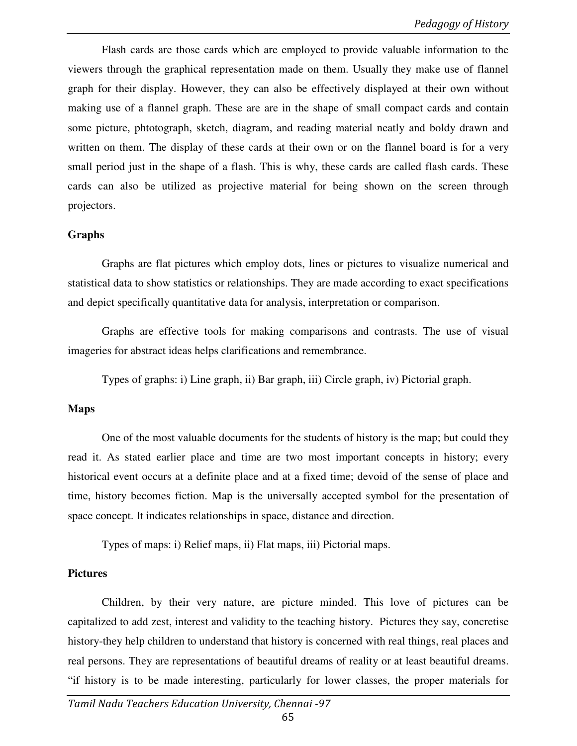Flash cards are those cards which are employed to provide valuable information to the viewers through the graphical representation made on them. Usually they make use of flannel graph for their display. However, they can also be effectively displayed at their own without making use of a flannel graph. These are are in the shape of small compact cards and contain some picture, phtotograph, sketch, diagram, and reading material neatly and boldy drawn and written on them. The display of these cards at their own or on the flannel board is for a very small period just in the shape of a flash. This is why, these cards are called flash cards. These cards can also be utilized as projective material for being shown on the screen through projectors.

#### **Graphs**

Graphs are flat pictures which employ dots, lines or pictures to visualize numerical and statistical data to show statistics or relationships. They are made according to exact specifications and depict specifically quantitative data for analysis, interpretation or comparison.

Graphs are effective tools for making comparisons and contrasts. The use of visual imageries for abstract ideas helps clarifications and remembrance.

Types of graphs: i) Line graph, ii) Bar graph, iii) Circle graph, iv) Pictorial graph.

#### **Maps**

One of the most valuable documents for the students of history is the map; but could they read it. As stated earlier place and time are two most important concepts in history; every historical event occurs at a definite place and at a fixed time; devoid of the sense of place and time, history becomes fiction. Map is the universally accepted symbol for the presentation of space concept. It indicates relationships in space, distance and direction.

Types of maps: i) Relief maps, ii) Flat maps, iii) Pictorial maps.

## **Pictures**

Children, by their very nature, are picture minded. This love of pictures can be capitalized to add zest, interest and validity to the teaching history. Pictures they say, concretise history-they help children to understand that history is concerned with real things, real places and real persons. They are representations of beautiful dreams of reality or at least beautiful dreams. "if history is to be made interesting, particularly for lower classes, the proper materials for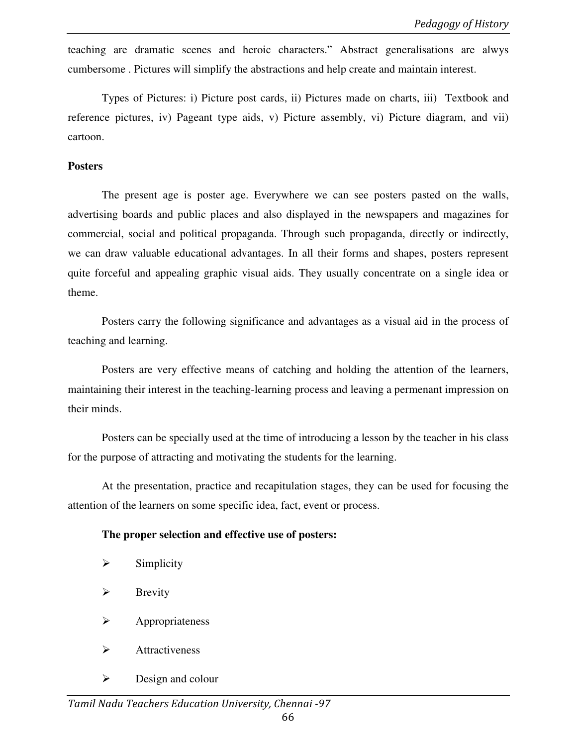teaching are dramatic scenes and heroic characters." Abstract generalisations are alwys cumbersome . Pictures will simplify the abstractions and help create and maintain interest.

Types of Pictures: i) Picture post cards, ii) Pictures made on charts, iii) Textbook and reference pictures, iv) Pageant type aids, v) Picture assembly, vi) Picture diagram, and vii) cartoon.

#### **Posters**

The present age is poster age. Everywhere we can see posters pasted on the walls, advertising boards and public places and also displayed in the newspapers and magazines for commercial, social and political propaganda. Through such propaganda, directly or indirectly, we can draw valuable educational advantages. In all their forms and shapes, posters represent quite forceful and appealing graphic visual aids. They usually concentrate on a single idea or theme.

Posters carry the following significance and advantages as a visual aid in the process of teaching and learning.

Posters are very effective means of catching and holding the attention of the learners, maintaining their interest in the teaching-learning process and leaving a permenant impression on their minds.

Posters can be specially used at the time of introducing a lesson by the teacher in his class for the purpose of attracting and motivating the students for the learning.

At the presentation, practice and recapitulation stages, they can be used for focusing the attention of the learners on some specific idea, fact, event or process.

#### **The proper selection and effective use of posters:**

- $\triangleright$  Simplicity
- $\triangleright$  Brevity
- $\triangleright$  Appropriateness
- $\triangleright$  Attractiveness
- $\triangleright$  Design and colour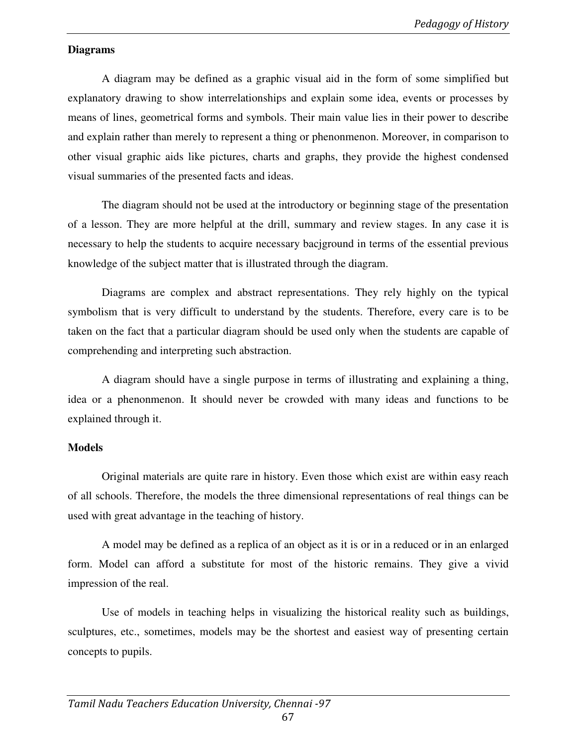#### **Diagrams**

A diagram may be defined as a graphic visual aid in the form of some simplified but explanatory drawing to show interrelationships and explain some idea, events or processes by means of lines, geometrical forms and symbols. Their main value lies in their power to describe and explain rather than merely to represent a thing or phenonmenon. Moreover, in comparison to other visual graphic aids like pictures, charts and graphs, they provide the highest condensed visual summaries of the presented facts and ideas.

The diagram should not be used at the introductory or beginning stage of the presentation of a lesson. They are more helpful at the drill, summary and review stages. In any case it is necessary to help the students to acquire necessary bacjground in terms of the essential previous knowledge of the subject matter that is illustrated through the diagram.

Diagrams are complex and abstract representations. They rely highly on the typical symbolism that is very difficult to understand by the students. Therefore, every care is to be taken on the fact that a particular diagram should be used only when the students are capable of comprehending and interpreting such abstraction.

A diagram should have a single purpose in terms of illustrating and explaining a thing, idea or a phenonmenon. It should never be crowded with many ideas and functions to be explained through it.

## **Models**

Original materials are quite rare in history. Even those which exist are within easy reach of all schools. Therefore, the models the three dimensional representations of real things can be used with great advantage in the teaching of history.

A model may be defined as a replica of an object as it is or in a reduced or in an enlarged form. Model can afford a substitute for most of the historic remains. They give a vivid impression of the real.

Use of models in teaching helps in visualizing the historical reality such as buildings, sculptures, etc., sometimes, models may be the shortest and easiest way of presenting certain concepts to pupils.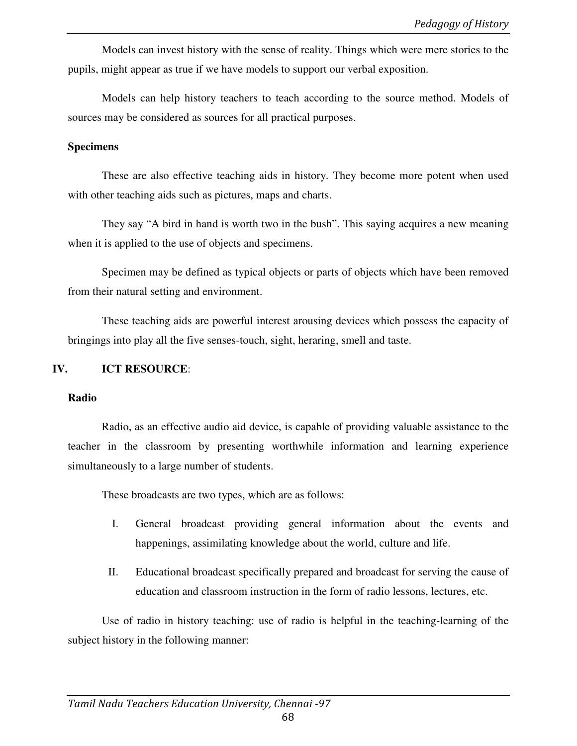Models can invest history with the sense of reality. Things which were mere stories to the pupils, might appear as true if we have models to support our verbal exposition.

Models can help history teachers to teach according to the source method. Models of sources may be considered as sources for all practical purposes.

#### **Specimens**

These are also effective teaching aids in history. They become more potent when used with other teaching aids such as pictures, maps and charts.

They say "A bird in hand is worth two in the bush". This saying acquires a new meaning when it is applied to the use of objects and specimens.

Specimen may be defined as typical objects or parts of objects which have been removed from their natural setting and environment.

These teaching aids are powerful interest arousing devices which possess the capacity of bringings into play all the five senses-touch, sight, heraring, smell and taste.

# **IV. ICT RESOURCE**:

## **Radio**

Radio, as an effective audio aid device, is capable of providing valuable assistance to the teacher in the classroom by presenting worthwhile information and learning experience simultaneously to a large number of students.

These broadcasts are two types, which are as follows:

- I. General broadcast providing general information about the events and happenings, assimilating knowledge about the world, culture and life.
- II. Educational broadcast specifically prepared and broadcast for serving the cause of education and classroom instruction in the form of radio lessons, lectures, etc.

Use of radio in history teaching: use of radio is helpful in the teaching-learning of the subject history in the following manner: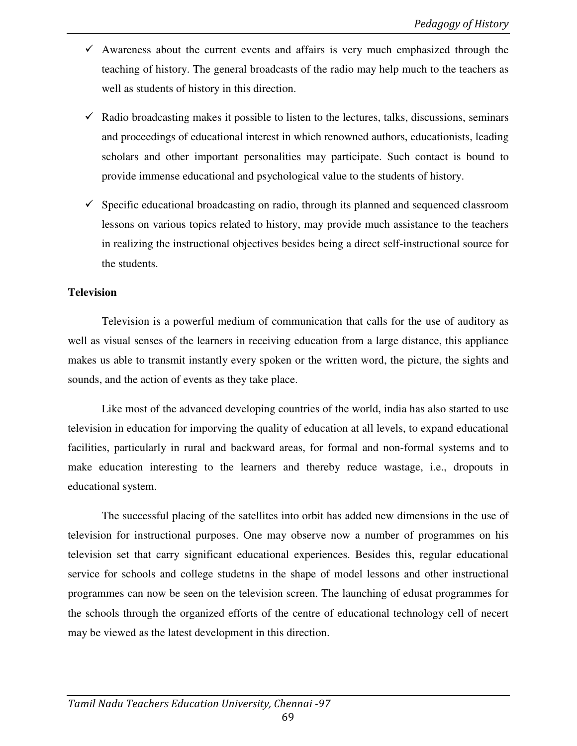- $\checkmark$  Awareness about the current events and affairs is very much emphasized through the teaching of history. The general broadcasts of the radio may help much to the teachers as well as students of history in this direction.
- Radio broadcasting makes it possible to listen to the lectures, talks, discussions, seminars and proceedings of educational interest in which renowned authors, educationists, leading scholars and other important personalities may participate. Such contact is bound to provide immense educational and psychological value to the students of history.
- Specific educational broadcasting on radio, through its planned and sequenced classroom lessons on various topics related to history, may provide much assistance to the teachers in realizing the instructional objectives besides being a direct self-instructional source for the students.

# **Television**

 Television is a powerful medium of communication that calls for the use of auditory as well as visual senses of the learners in receiving education from a large distance, this appliance makes us able to transmit instantly every spoken or the written word, the picture, the sights and sounds, and the action of events as they take place.

Like most of the advanced developing countries of the world, india has also started to use television in education for imporving the quality of education at all levels, to expand educational facilities, particularly in rural and backward areas, for formal and non-formal systems and to make education interesting to the learners and thereby reduce wastage, i.e., dropouts in educational system.

The successful placing of the satellites into orbit has added new dimensions in the use of television for instructional purposes. One may observe now a number of programmes on his television set that carry significant educational experiences. Besides this, regular educational service for schools and college studetns in the shape of model lessons and other instructional programmes can now be seen on the television screen. The launching of edusat programmes for the schools through the organized efforts of the centre of educational technology cell of necert may be viewed as the latest development in this direction.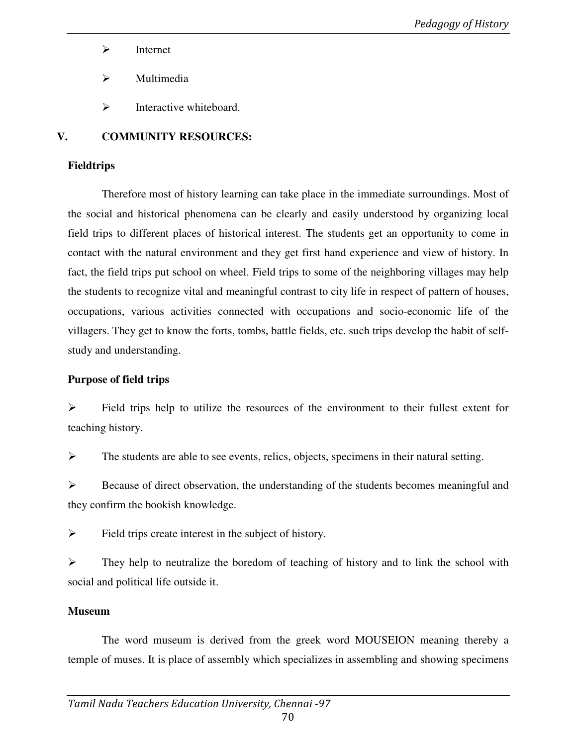- $\triangleright$  Internet
- $\triangleright$  Multimedia
- $\triangleright$  Interactive whiteboard.

# **V. COMMUNITY RESOURCES:**

# **Fieldtrips**

Therefore most of history learning can take place in the immediate surroundings. Most of the social and historical phenomena can be clearly and easily understood by organizing local field trips to different places of historical interest. The students get an opportunity to come in contact with the natural environment and they get first hand experience and view of history. In fact, the field trips put school on wheel. Field trips to some of the neighboring villages may help the students to recognize vital and meaningful contrast to city life in respect of pattern of houses, occupations, various activities connected with occupations and socio-economic life of the villagers. They get to know the forts, tombs, battle fields, etc. such trips develop the habit of selfstudy and understanding.

# **Purpose of field trips**

 $\triangleright$  Field trips help to utilize the resources of the environment to their fullest extent for teaching history.

 $\triangleright$  The students are able to see events, relics, objects, specimens in their natural setting.

 $\triangleright$  Because of direct observation, the understanding of the students becomes meaningful and they confirm the bookish knowledge.

 $\triangleright$  Field trips create interest in the subject of history.

 $\triangleright$  They help to neutralize the boredom of teaching of history and to link the school with social and political life outside it.

# **Museum**

The word museum is derived from the greek word MOUSEION meaning thereby a temple of muses. It is place of assembly which specializes in assembling and showing specimens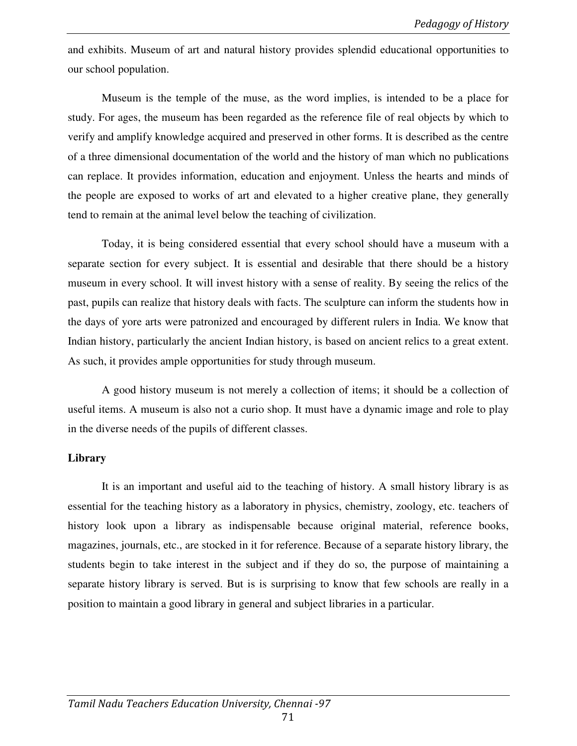and exhibits. Museum of art and natural history provides splendid educational opportunities to our school population.

Museum is the temple of the muse, as the word implies, is intended to be a place for study. For ages, the museum has been regarded as the reference file of real objects by which to verify and amplify knowledge acquired and preserved in other forms. It is described as the centre of a three dimensional documentation of the world and the history of man which no publications can replace. It provides information, education and enjoyment. Unless the hearts and minds of the people are exposed to works of art and elevated to a higher creative plane, they generally tend to remain at the animal level below the teaching of civilization.

Today, it is being considered essential that every school should have a museum with a separate section for every subject. It is essential and desirable that there should be a history museum in every school. It will invest history with a sense of reality. By seeing the relics of the past, pupils can realize that history deals with facts. The sculpture can inform the students how in the days of yore arts were patronized and encouraged by different rulers in India. We know that Indian history, particularly the ancient Indian history, is based on ancient relics to a great extent. As such, it provides ample opportunities for study through museum.

A good history museum is not merely a collection of items; it should be a collection of useful items. A museum is also not a curio shop. It must have a dynamic image and role to play in the diverse needs of the pupils of different classes.

## **Library**

It is an important and useful aid to the teaching of history. A small history library is as essential for the teaching history as a laboratory in physics, chemistry, zoology, etc. teachers of history look upon a library as indispensable because original material, reference books, magazines, journals, etc., are stocked in it for reference. Because of a separate history library, the students begin to take interest in the subject and if they do so, the purpose of maintaining a separate history library is served. But is is surprising to know that few schools are really in a position to maintain a good library in general and subject libraries in a particular.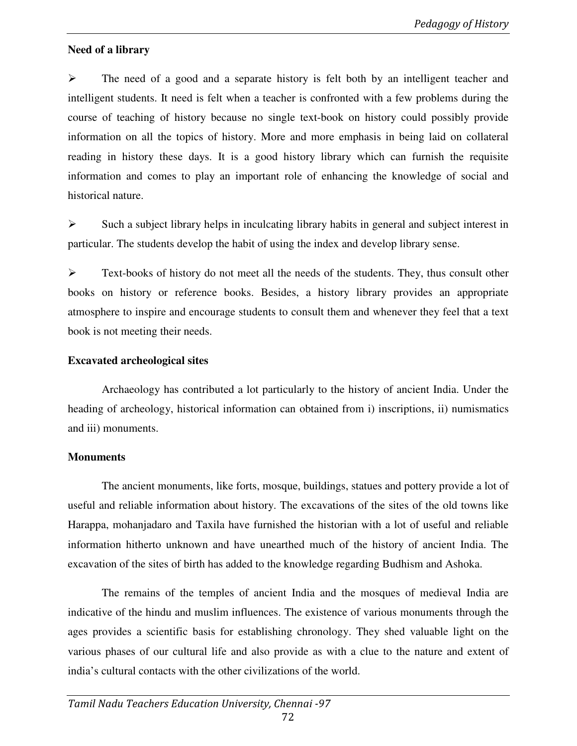# **Need of a library**

 The need of a good and a separate history is felt both by an intelligent teacher and intelligent students. It need is felt when a teacher is confronted with a few problems during the course of teaching of history because no single text-book on history could possibly provide information on all the topics of history. More and more emphasis in being laid on collateral reading in history these days. It is a good history library which can furnish the requisite information and comes to play an important role of enhancing the knowledge of social and historical nature.

 $\triangleright$  Such a subject library helps in inculcating library habits in general and subject interest in particular. The students develop the habit of using the index and develop library sense.

 $\triangleright$  Text-books of history do not meet all the needs of the students. They, thus consult other books on history or reference books. Besides, a history library provides an appropriate atmosphere to inspire and encourage students to consult them and whenever they feel that a text book is not meeting their needs.

## **Excavated archeological sites**

Archaeology has contributed a lot particularly to the history of ancient India. Under the heading of archeology, historical information can obtained from i) inscriptions, ii) numismatics and iii) monuments.

## **Monuments**

The ancient monuments, like forts, mosque, buildings, statues and pottery provide a lot of useful and reliable information about history. The excavations of the sites of the old towns like Harappa, mohanjadaro and Taxila have furnished the historian with a lot of useful and reliable information hitherto unknown and have unearthed much of the history of ancient India. The excavation of the sites of birth has added to the knowledge regarding Budhism and Ashoka.

The remains of the temples of ancient India and the mosques of medieval India are indicative of the hindu and muslim influences. The existence of various monuments through the ages provides a scientific basis for establishing chronology. They shed valuable light on the various phases of our cultural life and also provide as with a clue to the nature and extent of india's cultural contacts with the other civilizations of the world.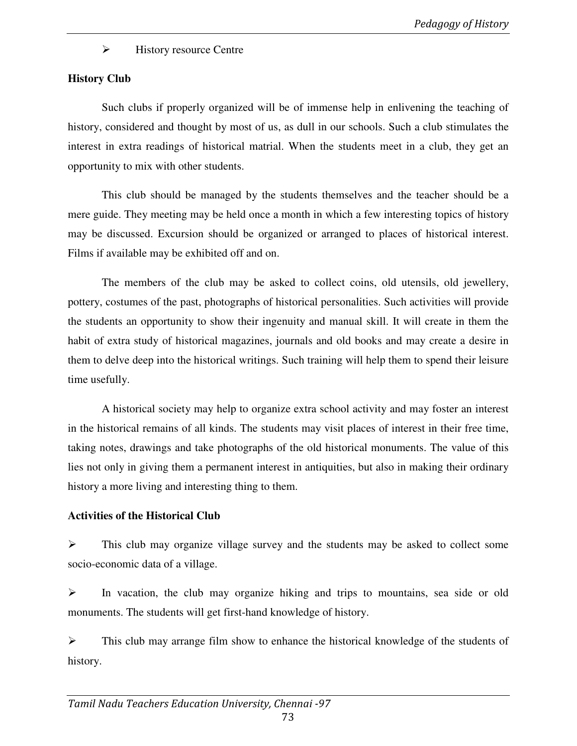$\triangleright$  History resource Centre

## **History Club**

Such clubs if properly organized will be of immense help in enlivening the teaching of history, considered and thought by most of us, as dull in our schools. Such a club stimulates the interest in extra readings of historical matrial. When the students meet in a club, they get an opportunity to mix with other students.

This club should be managed by the students themselves and the teacher should be a mere guide. They meeting may be held once a month in which a few interesting topics of history may be discussed. Excursion should be organized or arranged to places of historical interest. Films if available may be exhibited off and on.

The members of the club may be asked to collect coins, old utensils, old jewellery, pottery, costumes of the past, photographs of historical personalities. Such activities will provide the students an opportunity to show their ingenuity and manual skill. It will create in them the habit of extra study of historical magazines, journals and old books and may create a desire in them to delve deep into the historical writings. Such training will help them to spend their leisure time usefully.

A historical society may help to organize extra school activity and may foster an interest in the historical remains of all kinds. The students may visit places of interest in their free time, taking notes, drawings and take photographs of the old historical monuments. The value of this lies not only in giving them a permanent interest in antiquities, but also in making their ordinary history a more living and interesting thing to them.

## **Activities of the Historical Club**

 $\triangleright$  This club may organize village survey and the students may be asked to collect some socio-economic data of a village.

 In vacation, the club may organize hiking and trips to mountains, sea side or old monuments. The students will get first-hand knowledge of history.

 $\triangleright$  This club may arrange film show to enhance the historical knowledge of the students of history.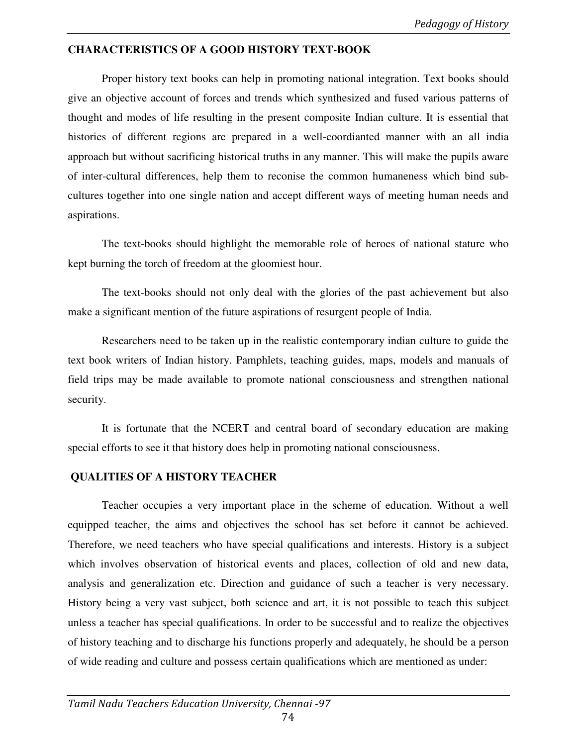## **CHARACTERISTICS OF A GOOD HISTORY TEXT-BOOK**

Proper history text books can help in promoting national integration. Text books should give an objective account of forces and trends which synthesized and fused various patterns of thought and modes of life resulting in the present composite Indian culture. It is essential that histories of different regions are prepared in a well-coordianted manner with an all india approach but without sacrificing historical truths in any manner. This will make the pupils aware of inter-cultural differences, help them to reconise the common humaneness which bind subcultures together into one single nation and accept different ways of meeting human needs and aspirations.

The text-books should highlight the memorable role of heroes of national stature who kept burning the torch of freedom at the gloomiest hour.

The text-books should not only deal with the glories of the past achievement but also make a significant mention of the future aspirations of resurgent people of India.

Researchers need to be taken up in the realistic contemporary indian culture to guide the text book writers of Indian history. Pamphlets, teaching guides, maps, models and manuals of field trips may be made available to promote national consciousness and strengthen national security.

It is fortunate that the NCERT and central board of secondary education are making special efforts to see it that history does help in promoting national consciousness.

#### **QUALITIES OF A HISTORY TEACHER**

Teacher occupies a very important place in the scheme of education. Without a well equipped teacher, the aims and objectives the school has set before it cannot be achieved. Therefore, we need teachers who have special qualifications and interests. History is a subject which involves observation of historical events and places, collection of old and new data, analysis and generalization etc. Direction and guidance of such a teacher is very necessary. History being a very vast subject, both science and art, it is not possible to teach this subject unless a teacher has special qualifications. In order to be successful and to realize the objectives of history teaching and to discharge his functions properly and adequately, he should be a person of wide reading and culture and possess certain qualifications which are mentioned as under: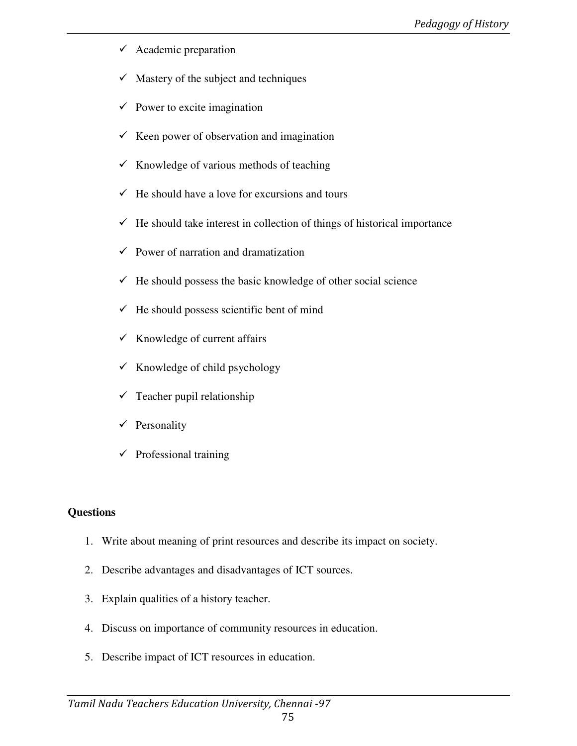- Academic preparation
- $\checkmark$  Mastery of the subject and techniques
- $\checkmark$  Power to excite imagination
- $\checkmark$  Keen power of observation and imagination
- Knowledge of various methods of teaching
- $\checkmark$  He should have a love for excursions and tours
- $\checkmark$  He should take interest in collection of things of historical importance
- Power of narration and dramatization
- He should possess the basic knowledge of other social science
- $\checkmark$  He should possess scientific bent of mind
- $\checkmark$  Knowledge of current affairs
- Knowledge of child psychology
- Teacher pupil relationship
- Personality
- Professional training

# **Questions**

- 1. Write about meaning of print resources and describe its impact on society.
- 2. Describe advantages and disadvantages of ICT sources.
- 3. Explain qualities of a history teacher.
- 4. Discuss on importance of community resources in education.
- 5. Describe impact of ICT resources in education.